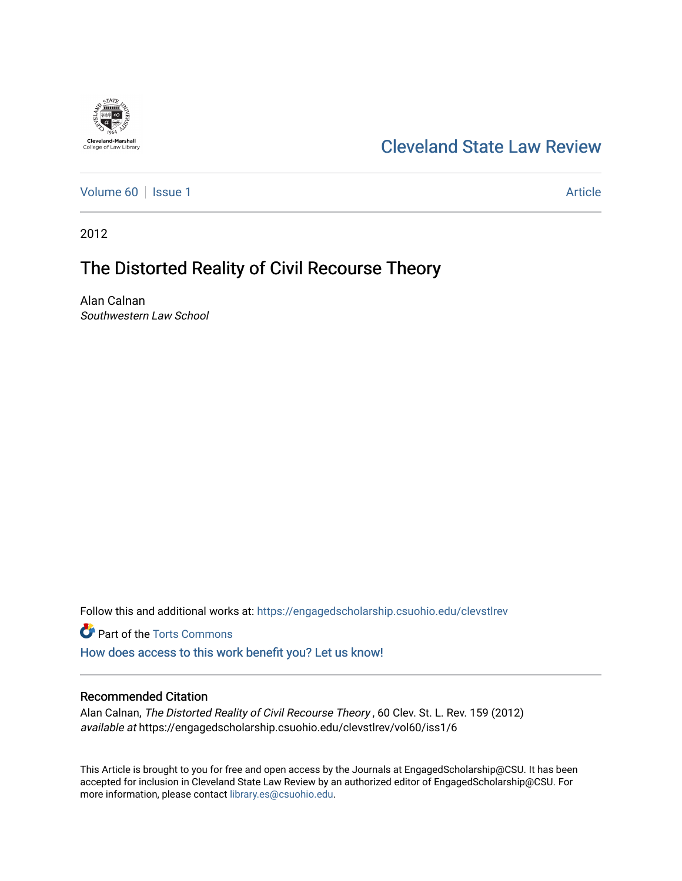

## [Cleveland State Law Review](https://engagedscholarship.csuohio.edu/clevstlrev)

[Volume 60](https://engagedscholarship.csuohio.edu/clevstlrev/vol60) | [Issue 1](https://engagedscholarship.csuohio.edu/clevstlrev/vol60/iss1) Article

2012

# The Distorted Reality of Civil Recourse Theory

Alan Calnan Southwestern Law School

Follow this and additional works at: [https://engagedscholarship.csuohio.edu/clevstlrev](https://engagedscholarship.csuohio.edu/clevstlrev?utm_source=engagedscholarship.csuohio.edu%2Fclevstlrev%2Fvol60%2Fiss1%2F6&utm_medium=PDF&utm_campaign=PDFCoverPages)

Part of the [Torts Commons](http://network.bepress.com/hgg/discipline/913?utm_source=engagedscholarship.csuohio.edu%2Fclevstlrev%2Fvol60%2Fiss1%2F6&utm_medium=PDF&utm_campaign=PDFCoverPages) [How does access to this work benefit you? Let us know!](http://library.csuohio.edu/engaged/)

### Recommended Citation

Alan Calnan, The Distorted Reality of Civil Recourse Theory , 60 Clev. St. L. Rev. 159 (2012) available at https://engagedscholarship.csuohio.edu/clevstlrev/vol60/iss1/6

This Article is brought to you for free and open access by the Journals at EngagedScholarship@CSU. It has been accepted for inclusion in Cleveland State Law Review by an authorized editor of EngagedScholarship@CSU. For more information, please contact [library.es@csuohio.edu](mailto:library.es@csuohio.edu).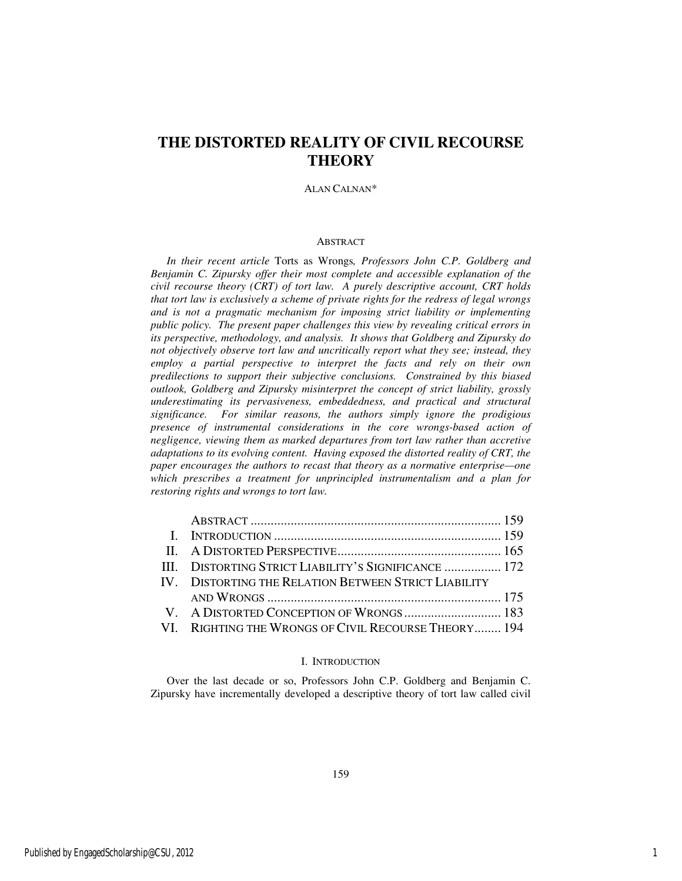### **THE DISTORTED REALITY OF CIVIL RECOURSE THEORY**

#### ALAN CALNAN\*

#### **ABSTRACT**

*In their recent article* Torts as Wrongs*, Professors John C.P. Goldberg and Benjamin C. Zipursky offer their most complete and accessible explanation of the civil recourse theory (CRT) of tort law. A purely descriptive account, CRT holds that tort law is exclusively a scheme of private rights for the redress of legal wrongs and is not a pragmatic mechanism for imposing strict liability or implementing public policy. The present paper challenges this view by revealing critical errors in its perspective, methodology, and analysis. It shows that Goldberg and Zipursky do not objectively observe tort law and uncritically report what they see; instead, they employ a partial perspective to interpret the facts and rely on their own predilections to support their subjective conclusions. Constrained by this biased outlook, Goldberg and Zipursky misinterpret the concept of strict liability, grossly underestimating its pervasiveness, embeddedness, and practical and structural significance. For similar reasons, the authors simply ignore the prodigious presence of instrumental considerations in the core wrongs-based action of negligence, viewing them as marked departures from tort law rather than accretive adaptations to its evolving content. Having exposed the distorted reality of CRT, the paper encourages the authors to recast that theory as a normative enterprise—one which prescribes a treatment for unprincipled instrumentalism and a plan for restoring rights and wrongs to tort law.* 

| III. DISTORTING STRICT LIABILITY'S SIGNIFICANCE  172 |  |
|------------------------------------------------------|--|
| IV. DISTORTING THE RELATION BETWEEN STRICT LIABILITY |  |
|                                                      |  |
|                                                      |  |
| VI. RIGHTING THE WRONGS OF CIVIL RECOURSE THEORY 194 |  |

#### I. INTRODUCTION

Over the last decade or so, Professors John C.P. Goldberg and Benjamin C. Zipursky have incrementally developed a descriptive theory of tort law called civil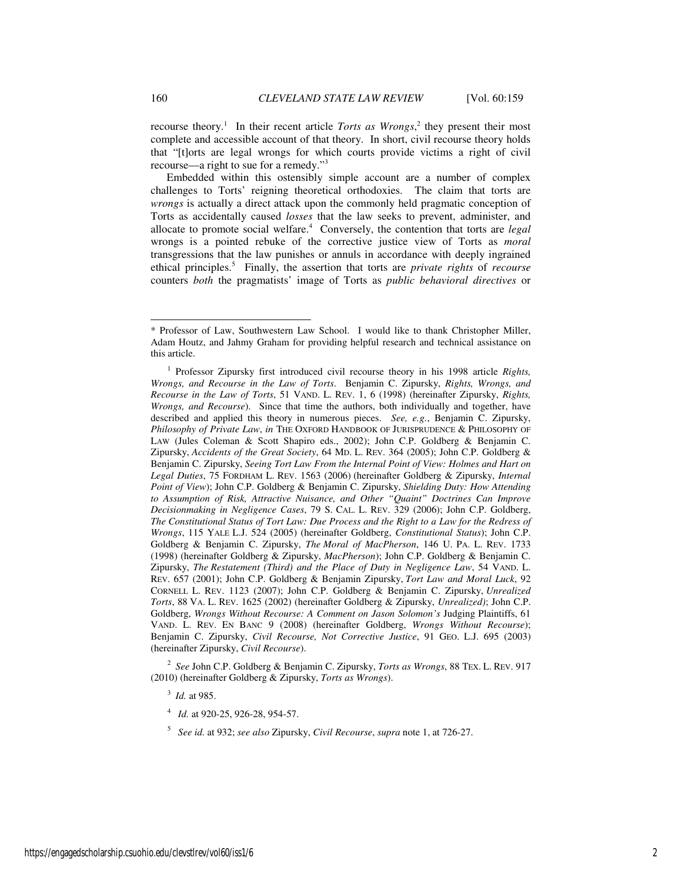recourse theory.<sup>1</sup> In their recent article *Torts as Wrongs*,<sup>2</sup> they present their most complete and accessible account of that theory. In short, civil recourse theory holds that "[t]orts are legal wrongs for which courts provide victims a right of civil recourse—a right to sue for a remedy."<sup>3</sup>

Embedded within this ostensibly simple account are a number of complex challenges to Torts' reigning theoretical orthodoxies. The claim that torts are *wrongs* is actually a direct attack upon the commonly held pragmatic conception of Torts as accidentally caused *losses* that the law seeks to prevent, administer, and allocate to promote social welfare.<sup>4</sup> Conversely, the contention that torts are *legal* wrongs is a pointed rebuke of the corrective justice view of Torts as *moral* transgressions that the law punishes or annuls in accordance with deeply ingrained ethical principles.<sup>5</sup> Finally, the assertion that torts are *private rights* of *recourse* counters *both* the pragmatists' image of Torts as *public behavioral directives* or

2 *See* John C.P. Goldberg & Benjamin C. Zipursky, *Torts as Wrongs*, 88 TEX. L. REV. 917 (2010) (hereinafter Goldberg & Zipursky, *Torts as Wrongs*).

- 3 *Id.* at 985.
- 4 *Id.* at 920-25, 926-28, 954-57.
- 5 *See id.* at 932; *see also* Zipursky, *Civil Recourse*, *supra* note 1, at 726-27.

-

<sup>\*</sup> Professor of Law, Southwestern Law School. I would like to thank Christopher Miller, Adam Houtz, and Jahmy Graham for providing helpful research and technical assistance on this article.

<sup>&</sup>lt;sup>1</sup> Professor Zipursky first introduced civil recourse theory in his 1998 article *Rights*, *Wrongs, and Recourse in the Law of Torts*. Benjamin C. Zipursky, *Rights, Wrongs, and Recourse in the Law of Torts*, 51 VAND. L. REV. 1, 6 (1998) (hereinafter Zipursky, *Rights, Wrongs, and Recourse*). Since that time the authors, both individually and together, have described and applied this theory in numerous pieces. *See, e.g.*, Benjamin C. Zipursky, *Philosophy of Private Law*, *in* THE OXFORD HANDBOOK OF JURISPRUDENCE & PHILOSOPHY OF LAW (Jules Coleman & Scott Shapiro eds., 2002); John C.P. Goldberg & Benjamin C. Zipursky, *Accidents of the Great Society*, 64 MD. L. REV. 364 (2005); John C.P. Goldberg & Benjamin C. Zipursky, *Seeing Tort Law From the Internal Point of View: Holmes and Hart on Legal Duties*, 75 FORDHAM L. REV. 1563 (2006) (hereinafter Goldberg & Zipursky, *Internal Point of View*); John C.P. Goldberg & Benjamin C. Zipursky, *Shielding Duty: How Attending to Assumption of Risk, Attractive Nuisance, and Other "Quaint" Doctrines Can Improve Decisionmaking in Negligence Cases*, 79 S. CAL. L. REV. 329 (2006); John C.P. Goldberg, *The Constitutional Status of Tort Law: Due Process and the Right to a Law for the Redress of Wrongs*, 115 YALE L.J. 524 (2005) (hereinafter Goldberg, *Constitutional Status*); John C.P. Goldberg & Benjamin C. Zipursky, *The Moral of MacPherson*, 146 U. PA. L. REV. 1733 (1998) (hereinafter Goldberg & Zipursky, *MacPherson*); John C.P. Goldberg & Benjamin C. Zipursky, *The Restatement (Third) and the Place of Duty in Negligence Law*, 54 VAND. L. REV. 657 (2001); John C.P. Goldberg & Benjamin Zipursky, *Tort Law and Moral Luck*, 92 CORNELL L. REV. 1123 (2007); John C.P. Goldberg & Benjamin C. Zipursky, *Unrealized Torts*, 88 VA. L. REV. 1625 (2002) (hereinafter Goldberg & Zipursky, *Unrealized)*; John C.P. Goldberg, *Wrongs Without Recourse: A Comment on Jason Solomon's* Judging Plaintiffs, 61 VAND. L. REV. EN BANC 9 (2008) (hereinafter Goldberg, *Wrongs Without Recourse*); Benjamin C. Zipursky, *Civil Recourse, Not Corrective Justice*, 91 GEO. L.J. 695 (2003) (hereinafter Zipursky, *Civil Recourse*).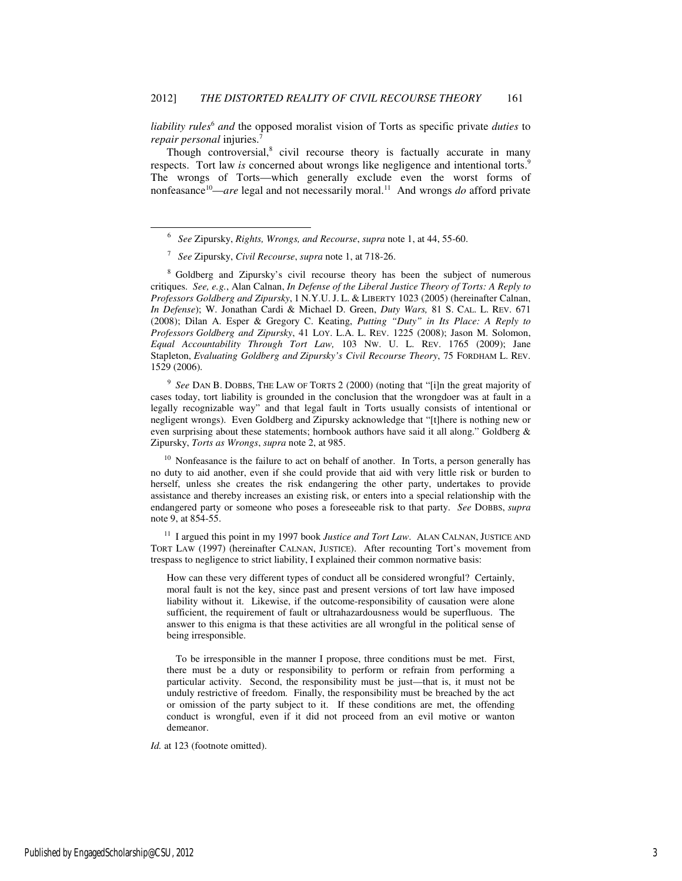liability rules<sup>6</sup> and the opposed moralist vision of Torts as specific private *duties* to *repair personal* injuries.<sup>7</sup>

Though controversial, $8$  civil recourse theory is factually accurate in many respects. Tort law *is* concerned about wrongs like negligence and intentional torts.<sup>9</sup> The wrongs of Torts—which generally exclude even the worst forms of nonfeasance<sup>10</sup>—*are* legal and not necessarily moral.<sup>11</sup> And wrongs *do* afford private

-

<sup>8</sup> Goldberg and Zipursky's civil recourse theory has been the subject of numerous critiques. *See, e.g.*, Alan Calnan, *In Defense of the Liberal Justice Theory of Torts: A Reply to Professors Goldberg and Zipursky*, 1 N.Y.U. J. L. & LIBERTY 1023 (2005) (hereinafter Calnan, *In Defense*); W. Jonathan Cardi & Michael D. Green, *Duty Wars,* 81 S. CAL. L. REV. 671 (2008); Dilan A. Esper & Gregory C. Keating, *Putting "Duty" in Its Place: A Reply to Professors Goldberg and Zipursky*, 41 LOY. L.A. L. REV. 1225 (2008); Jason M. Solomon, *Equal Accountability Through Tort Law,* 103 NW. U. L. REV. 1765 (2009); Jane Stapleton, *Evaluating Goldberg and Zipursky's Civil Recourse Theory*, 75 FORDHAM L. REV. 1529 (2006).

9 *See* DAN B. DOBBS, THE LAW OF TORTS 2 (2000) (noting that "[i]n the great majority of cases today, tort liability is grounded in the conclusion that the wrongdoer was at fault in a legally recognizable way" and that legal fault in Torts usually consists of intentional or negligent wrongs). Even Goldberg and Zipursky acknowledge that "[t]here is nothing new or even surprising about these statements; hornbook authors have said it all along." Goldberg & Zipursky, *Torts as Wrongs*, *supra* note 2, at 985.

<sup>10</sup> Nonfeasance is the failure to act on behalf of another. In Torts, a person generally has no duty to aid another, even if she could provide that aid with very little risk or burden to herself, unless she creates the risk endangering the other party, undertakes to provide assistance and thereby increases an existing risk, or enters into a special relationship with the endangered party or someone who poses a foreseeable risk to that party. *See* DOBBS, *supra*  note 9, at 854-55.

<sup>11</sup> I argued this point in my 1997 book *Justice and Tort Law*. ALAN CALNAN, JUSTICE AND TORT LAW (1997) (hereinafter CALNAN, JUSTICE). After recounting Tort's movement from trespass to negligence to strict liability, I explained their common normative basis:

How can these very different types of conduct all be considered wrongful? Certainly, moral fault is not the key, since past and present versions of tort law have imposed liability without it. Likewise, if the outcome-responsibility of causation were alone sufficient, the requirement of fault or ultrahazardousness would be superfluous. The answer to this enigma is that these activities are all wrongful in the political sense of being irresponsible.

 To be irresponsible in the manner I propose, three conditions must be met. First, there must be a duty or responsibility to perform or refrain from performing a particular activity. Second, the responsibility must be just—that is, it must not be unduly restrictive of freedom. Finally, the responsibility must be breached by the act or omission of the party subject to it. If these conditions are met, the offending conduct is wrongful, even if it did not proceed from an evil motive or wanton demeanor.

*Id.* at 123 (footnote omitted).

<sup>6</sup> *See* Zipursky, *Rights, Wrongs, and Recourse*, *supra* note 1, at 44, 55-60.

<sup>7</sup> *See* Zipursky, *Civil Recourse*, *supra* note 1, at 718-26.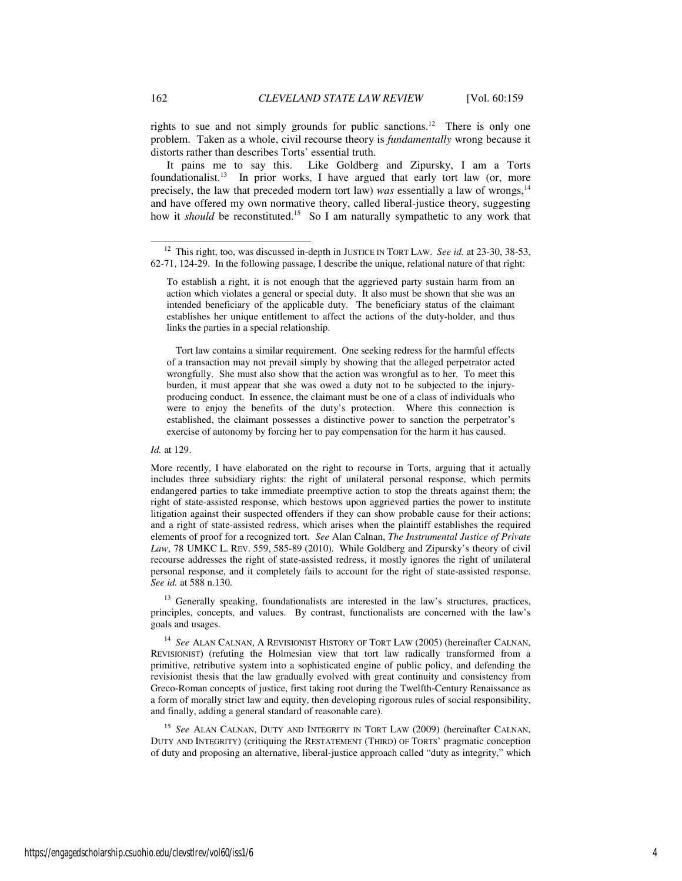rights to sue and not simply grounds for public sanctions.<sup>12</sup> There is only one problem. Taken as a whole, civil recourse theory is *fundamentally* wrong because it distorts rather than describes Torts' essential truth.

It pains me to say this. Like Goldberg and Zipursky, I am a Torts foundationalist.<sup>13</sup> In prior works, I have argued that early tort law (or, more precisely, the law that preceded modern tort law) *was* essentially a law of wrongs,<sup>14</sup> and have offered my own normative theory, called liberal-justice theory, suggesting how it *should* be reconstituted.<sup>15</sup> So I am naturally sympathetic to any work that

 Tort law contains a similar requirement. One seeking redress for the harmful effects of a transaction may not prevail simply by showing that the alleged perpetrator acted wrongfully. She must also show that the action was wrongful as to her. To meet this burden, it must appear that she was owed a duty not to be subjected to the injuryproducing conduct. In essence, the claimant must be one of a class of individuals who were to enjoy the benefits of the duty's protection. Where this connection is established, the claimant possesses a distinctive power to sanction the perpetrator's exercise of autonomy by forcing her to pay compensation for the harm it has caused.

*Id.* at 129.

More recently, I have elaborated on the right to recourse in Torts, arguing that it actually includes three subsidiary rights: the right of unilateral personal response, which permits endangered parties to take immediate preemptive action to stop the threats against them; the right of state-assisted response, which bestows upon aggrieved parties the power to institute litigation against their suspected offenders if they can show probable cause for their actions; and a right of state-assisted redress, which arises when the plaintiff establishes the required elements of proof for a recognized tort. *See* Alan Calnan, *The Instrumental Justice of Private Law*, 78 UMKC L. REV. 559, 585-89 (2010). While Goldberg and Zipursky's theory of civil recourse addresses the right of state-assisted redress, it mostly ignores the right of unilateral personal response, and it completely fails to account for the right of state-assisted response. *See id.* at 588 n.130.

<sup>13</sup> Generally speaking, foundationalists are interested in the law's structures, practices, principles, concepts, and values. By contrast, functionalists are concerned with the law's goals and usages.

<sup>14</sup> *See* ALAN CALNAN, A REVISIONIST HISTORY OF TORT LAW (2005) (hereinafter CALNAN, REVISIONIST) (refuting the Holmesian view that tort law radically transformed from a primitive, retributive system into a sophisticated engine of public policy, and defending the revisionist thesis that the law gradually evolved with great continuity and consistency from Greco-Roman concepts of justice, first taking root during the Twelfth-Century Renaissance as a form of morally strict law and equity, then developing rigorous rules of social responsibility, and finally, adding a general standard of reasonable care).

<sup>15</sup> See ALAN CALNAN, DUTY AND INTEGRITY IN TORT LAW (2009) (hereinafter CALNAN, DUTY AND INTEGRITY) (critiquing the RESTATEMENT (THIRD) OF TORTS' pragmatic conception of duty and proposing an alternative, liberal-justice approach called "duty as integrity," which

-

<sup>&</sup>lt;sup>12</sup> This right, too, was discussed in-depth in JUSTICE IN TORT LAW. See id. at 23-30, 38-53, 62-71, 124-29. In the following passage, I describe the unique, relational nature of that right:

To establish a right, it is not enough that the aggrieved party sustain harm from an action which violates a general or special duty. It also must be shown that she was an intended beneficiary of the applicable duty. The beneficiary status of the claimant establishes her unique entitlement to affect the actions of the duty-holder, and thus links the parties in a special relationship.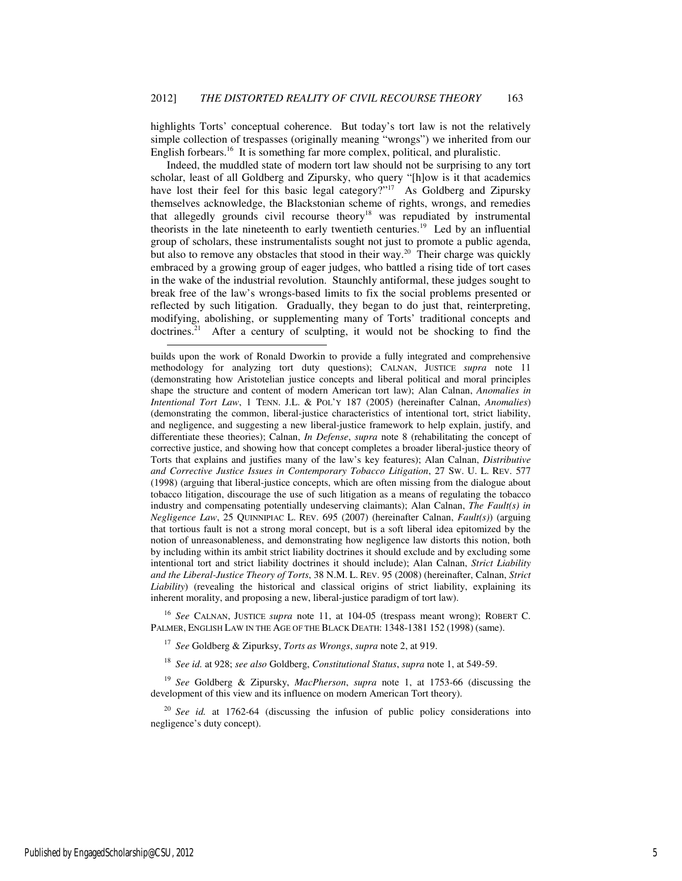highlights Torts' conceptual coherence. But today's tort law is not the relatively simple collection of trespasses (originally meaning "wrongs") we inherited from our English forbears.<sup>16</sup> It is something far more complex, political, and pluralistic.

Indeed, the muddled state of modern tort law should not be surprising to any tort scholar, least of all Goldberg and Zipursky, who query "[h]ow is it that academics have lost their feel for this basic legal category?"<sup>17</sup> As Goldberg and Zipursky themselves acknowledge, the Blackstonian scheme of rights, wrongs, and remedies that allegedly grounds civil recourse theory<sup>18</sup> was repudiated by instrumental theorists in the late nineteenth to early twentieth centuries.<sup>19</sup> Led by an influential group of scholars, these instrumentalists sought not just to promote a public agenda, but also to remove any obstacles that stood in their way.<sup>20</sup> Their charge was quickly embraced by a growing group of eager judges, who battled a rising tide of tort cases in the wake of the industrial revolution. Staunchly antiformal, these judges sought to break free of the law's wrongs-based limits to fix the social problems presented or reflected by such litigation. Gradually, they began to do just that, reinterpreting, modifying, abolishing, or supplementing many of Torts' traditional concepts and doctrines.<sup>21</sup> After a century of sculpting, it would not be shocking to find the

<sup>16</sup> *See* CALNAN, JUSTICE *supra* note 11, at 104-05 (trespass meant wrong); ROBERT C. PALMER, ENGLISH LAW IN THE AGE OF THE BLACK DEATH: 1348-1381 152 (1998) (same).

<sup>17</sup> *See* Goldberg & Zipurksy, *Torts as Wrongs*, *supra* note 2, at 919.

<sup>18</sup> *See id.* at 928; *see also* Goldberg, *Constitutional Status*, *supra* note 1, at 549-59.

<sup>19</sup> *See* Goldberg & Zipursky, *MacPherson*, *supra* note 1, at 1753-66 (discussing the development of this view and its influence on modern American Tort theory).

<sup>20</sup> *See id.* at 1762-64 (discussing the infusion of public policy considerations into negligence's duty concept).

 $\overline{a}$ 

builds upon the work of Ronald Dworkin to provide a fully integrated and comprehensive methodology for analyzing tort duty questions); CALNAN, JUSTICE *supra* note 11 (demonstrating how Aristotelian justice concepts and liberal political and moral principles shape the structure and content of modern American tort law); Alan Calnan, *Anomalies in Intentional Tort Law*, 1 TENN. J.L. & POL'Y 187 (2005) (hereinafter Calnan, *Anomalies*) (demonstrating the common, liberal-justice characteristics of intentional tort, strict liability, and negligence, and suggesting a new liberal-justice framework to help explain, justify, and differentiate these theories); Calnan, *In Defense*, *supra* note 8 (rehabilitating the concept of corrective justice, and showing how that concept completes a broader liberal-justice theory of Torts that explains and justifies many of the law's key features); Alan Calnan, *Distributive and Corrective Justice Issues in Contemporary Tobacco Litigation*, 27 SW. U. L. REV. 577 (1998) (arguing that liberal-justice concepts, which are often missing from the dialogue about tobacco litigation, discourage the use of such litigation as a means of regulating the tobacco industry and compensating potentially undeserving claimants); Alan Calnan, *The Fault(s) in Negligence Law*, 25 QUINNIPIAC L. REV. 695 (2007) (hereinafter Calnan, *Fault(s)*) (arguing that tortious fault is not a strong moral concept, but is a soft liberal idea epitomized by the notion of unreasonableness, and demonstrating how negligence law distorts this notion, both by including within its ambit strict liability doctrines it should exclude and by excluding some intentional tort and strict liability doctrines it should include); Alan Calnan, *Strict Liability and the Liberal-Justice Theory of Torts*, 38 N.M. L. REV. 95 (2008) (hereinafter, Calnan, *Strict Liability*) (revealing the historical and classical origins of strict liability, explaining its inherent morality, and proposing a new, liberal-justice paradigm of tort law).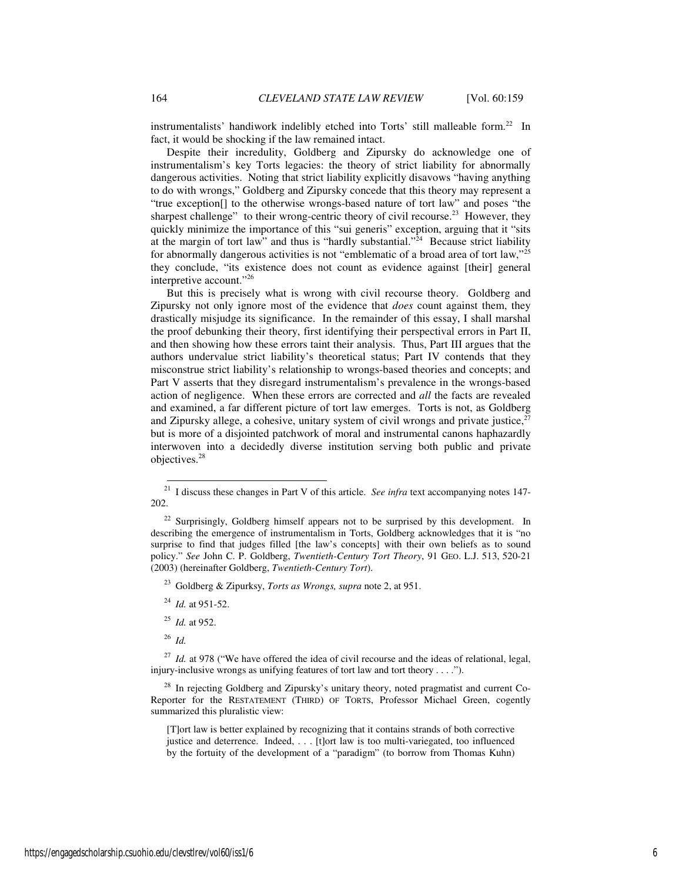instrumentalists' handiwork indelibly etched into Torts' still malleable form.<sup>22</sup> In fact, it would be shocking if the law remained intact.

Despite their incredulity, Goldberg and Zipursky do acknowledge one of instrumentalism's key Torts legacies: the theory of strict liability for abnormally dangerous activities. Noting that strict liability explicitly disavows "having anything to do with wrongs," Goldberg and Zipursky concede that this theory may represent a "true exception[] to the otherwise wrongs-based nature of tort law" and poses "the sharpest challenge" to their wrong-centric theory of civil recourse.<sup>23</sup> However, they quickly minimize the importance of this "sui generis" exception, arguing that it "sits at the margin of tort law" and thus is "hardly substantial."<sup>24</sup> Because strict liability for abnormally dangerous activities is not "emblematic of a broad area of tort law,"<sup>25</sup> they conclude, "its existence does not count as evidence against [their] general interpretive account."<sup>26</sup>

But this is precisely what is wrong with civil recourse theory. Goldberg and Zipursky not only ignore most of the evidence that *does* count against them, they drastically misjudge its significance. In the remainder of this essay, I shall marshal the proof debunking their theory, first identifying their perspectival errors in Part II, and then showing how these errors taint their analysis. Thus, Part III argues that the authors undervalue strict liability's theoretical status; Part IV contends that they misconstrue strict liability's relationship to wrongs-based theories and concepts; and Part V asserts that they disregard instrumentalism's prevalence in the wrongs-based action of negligence. When these errors are corrected and *all* the facts are revealed and examined, a far different picture of tort law emerges. Torts is not, as Goldberg and Zipursky allege, a cohesive, unitary system of civil wrongs and private justice, $27$ but is more of a disjointed patchwork of moral and instrumental canons haphazardly interwoven into a decidedly diverse institution serving both public and private objectives.<sup>28</sup>

<sup>26</sup> *Id.*

 $27$  *Id.* at 978 ("We have offered the idea of civil recourse and the ideas of relational, legal, injury-inclusive wrongs as unifying features of tort law and tort theory . . . .").

 $28$  In rejecting Goldberg and Zipursky's unitary theory, noted pragmatist and current Co-Reporter for the RESTATEMENT (THIRD) OF TORTS, Professor Michael Green, cogently summarized this pluralistic view:

[T]ort law is better explained by recognizing that it contains strands of both corrective justice and deterrence. Indeed, . . . [t]ort law is too multi-variegated, too influenced by the fortuity of the development of a "paradigm" (to borrow from Thomas Kuhn)

 $\overline{21}$ <sup>21</sup> I discuss these changes in Part V of this article.*See infra* text accompanying notes 147- 202.

 $^{22}$  Surprisingly, Goldberg himself appears not to be surprised by this development. In describing the emergence of instrumentalism in Torts, Goldberg acknowledges that it is "no surprise to find that judges filled [the law's concepts] with their own beliefs as to sound policy." *See* John C. P. Goldberg, *Twentieth-Century Tort Theory*, 91 GEO. L.J. 513, 520-21 (2003) (hereinafter Goldberg, *Twentieth-Century Tort*).

<sup>23</sup> Goldberg & Zipurksy, *Torts as Wrongs, supra* note 2, at 951.

<sup>24</sup> *Id.* at 951-52.

<sup>25</sup> *Id.* at 952.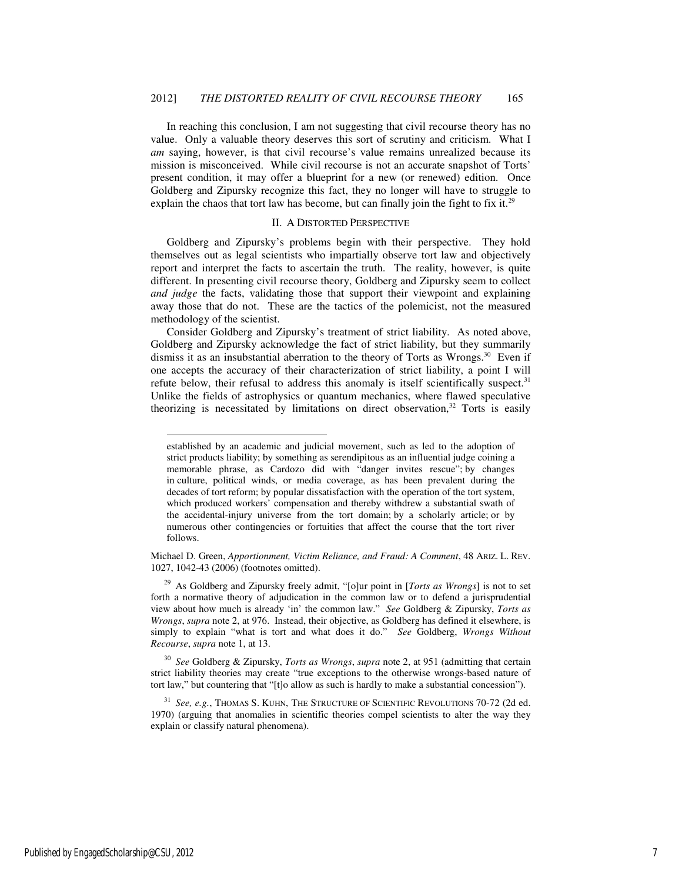In reaching this conclusion, I am not suggesting that civil recourse theory has no value. Only a valuable theory deserves this sort of scrutiny and criticism. What I *am* saying, however, is that civil recourse's value remains unrealized because its mission is misconceived. While civil recourse is not an accurate snapshot of Torts' present condition, it may offer a blueprint for a new (or renewed) edition. Once Goldberg and Zipursky recognize this fact, they no longer will have to struggle to explain the chaos that tort law has become, but can finally join the fight to fix it.<sup>29</sup>

#### II. A DISTORTED PERSPECTIVE

Goldberg and Zipursky's problems begin with their perspective. They hold themselves out as legal scientists who impartially observe tort law and objectively report and interpret the facts to ascertain the truth. The reality, however, is quite different. In presenting civil recourse theory, Goldberg and Zipursky seem to collect *and judge* the facts, validating those that support their viewpoint and explaining away those that do not. These are the tactics of the polemicist, not the measured methodology of the scientist.

Consider Goldberg and Zipursky's treatment of strict liability. As noted above, Goldberg and Zipursky acknowledge the fact of strict liability, but they summarily dismiss it as an insubstantial aberration to the theory of Torts as Wrongs. $^{30}$  Even if one accepts the accuracy of their characterization of strict liability, a point I will refute below, their refusal to address this anomaly is itself scientifically suspect. $31$ Unlike the fields of astrophysics or quantum mechanics, where flawed speculative theorizing is necessitated by limitations on direct observation, $32$  Torts is easily

Michael D. Green, *Apportionment, Victim Reliance, and Fraud: A Comment*, 48 ARIZ. L. REV. 1027, 1042-43 (2006) (footnotes omitted).

<sup>29</sup> As Goldberg and Zipursky freely admit, "[o]ur point in [*Torts as Wrongs*] is not to set forth a normative theory of adjudication in the common law or to defend a jurisprudential view about how much is already 'in' the common law." *See* Goldberg & Zipursky, *Torts as Wrongs*, *supra* note 2, at 976.Instead, their objective, as Goldberg has defined it elsewhere, is simply to explain "what is tort and what does it do." *See* Goldberg, *Wrongs Without Recourse*, *supra* note 1, at 13.

<sup>30</sup> *See* Goldberg & Zipursky, *Torts as Wrongs*, *supra* note 2, at 951 (admitting that certain strict liability theories may create "true exceptions to the otherwise wrongs-based nature of tort law," but countering that "[t]o allow as such is hardly to make a substantial concession").

<sup>31</sup> *See, e.g.*, THOMAS S. KUHN, THE STRUCTURE OF SCIENTIFIC REVOLUTIONS 70-72 (2d ed. 1970) (arguing that anomalies in scientific theories compel scientists to alter the way they explain or classify natural phenomena).

-

established by an academic and judicial movement, such as led to the adoption of strict products liability; by something as serendipitous as an influential judge coining a memorable phrase, as Cardozo did with "danger invites rescue"; by changes in culture, political winds, or media coverage, as has been prevalent during the decades of tort reform; by popular dissatisfaction with the operation of the tort system, which produced workers' compensation and thereby withdrew a substantial swath of the accidental-injury universe from the tort domain; by a scholarly article; or by numerous other contingencies or fortuities that affect the course that the tort river follows.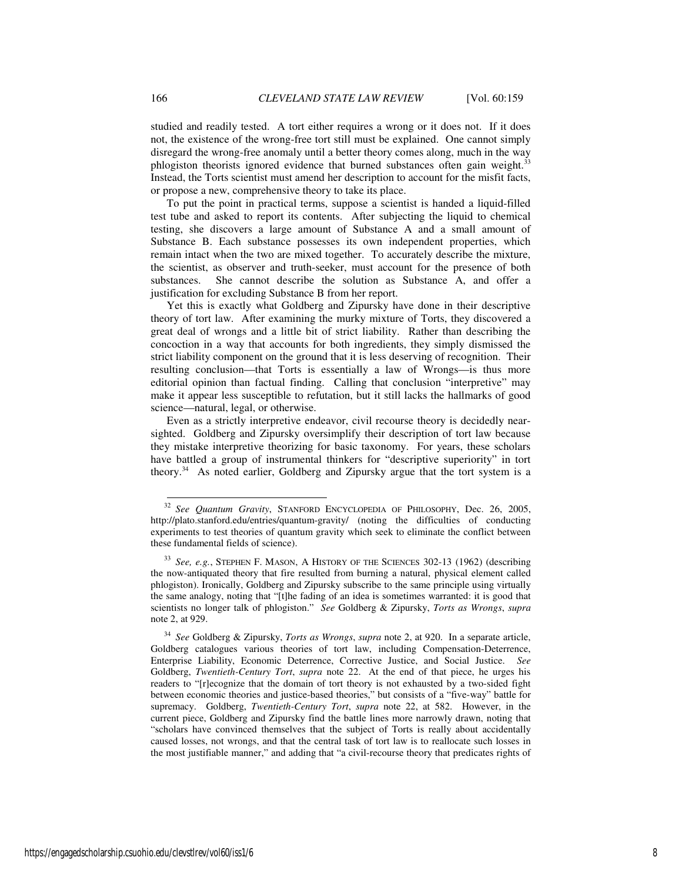studied and readily tested. A tort either requires a wrong or it does not. If it does not, the existence of the wrong-free tort still must be explained. One cannot simply disregard the wrong-free anomaly until a better theory comes along, much in the way phlogiston theorists ignored evidence that burned substances often gain weight.<sup>33</sup> Instead, the Torts scientist must amend her description to account for the misfit facts, or propose a new, comprehensive theory to take its place.

To put the point in practical terms, suppose a scientist is handed a liquid-filled test tube and asked to report its contents. After subjecting the liquid to chemical testing, she discovers a large amount of Substance A and a small amount of Substance B. Each substance possesses its own independent properties, which remain intact when the two are mixed together. To accurately describe the mixture, the scientist, as observer and truth-seeker, must account for the presence of both substances. She cannot describe the solution as Substance A, and offer a justification for excluding Substance B from her report.

Yet this is exactly what Goldberg and Zipursky have done in their descriptive theory of tort law. After examining the murky mixture of Torts, they discovered a great deal of wrongs and a little bit of strict liability. Rather than describing the concoction in a way that accounts for both ingredients, they simply dismissed the strict liability component on the ground that it is less deserving of recognition. Their resulting conclusion—that Torts is essentially a law of Wrongs—is thus more editorial opinion than factual finding. Calling that conclusion "interpretive" may make it appear less susceptible to refutation, but it still lacks the hallmarks of good science—natural, legal, or otherwise.

Even as a strictly interpretive endeavor, civil recourse theory is decidedly nearsighted. Goldberg and Zipursky oversimplify their description of tort law because they mistake interpretive theorizing for basic taxonomy. For years, these scholars have battled a group of instrumental thinkers for "descriptive superiority" in tort theory.<sup>34</sup> As noted earlier, Goldberg and Zipursky argue that the tort system is a

-

<sup>32</sup> *See Quantum Gravity*, STANFORD ENCYCLOPEDIA OF PHILOSOPHY, Dec. 26, 2005, http://plato.stanford.edu/entries/quantum-gravity/ (noting the difficulties of conducting experiments to test theories of quantum gravity which seek to eliminate the conflict between these fundamental fields of science).

<sup>33</sup> *See, e.g.*, STEPHEN F. MASON, A HISTORY OF THE SCIENCES 302-13 (1962) (describing the now-antiquated theory that fire resulted from burning a natural, physical element called phlogiston). Ironically, Goldberg and Zipursky subscribe to the same principle using virtually the same analogy, noting that "[t]he fading of an idea is sometimes warranted: it is good that scientists no longer talk of phlogiston." *See* Goldberg & Zipursky, *Torts as Wrongs*, *supra*  note 2, at 929.

<sup>34</sup> *See* Goldberg & Zipursky, *Torts as Wrongs*, *supra* note 2, at 920. In a separate article, Goldberg catalogues various theories of tort law, including Compensation-Deterrence, Enterprise Liability, Economic Deterrence, Corrective Justice, and Social Justice. *See*  Goldberg, *Twentieth-Century Tort*, *supra* note 22. At the end of that piece, he urges his readers to "[r]ecognize that the domain of tort theory is not exhausted by a two-sided fight between economic theories and justice-based theories," but consists of a "five-way" battle for supremacy. Goldberg, *Twentieth-Century Tort*, *supra* note 22, at 582. However, in the current piece, Goldberg and Zipursky find the battle lines more narrowly drawn, noting that "scholars have convinced themselves that the subject of Torts is really about accidentally caused losses, not wrongs, and that the central task of tort law is to reallocate such losses in the most justifiable manner," and adding that "a civil-recourse theory that predicates rights of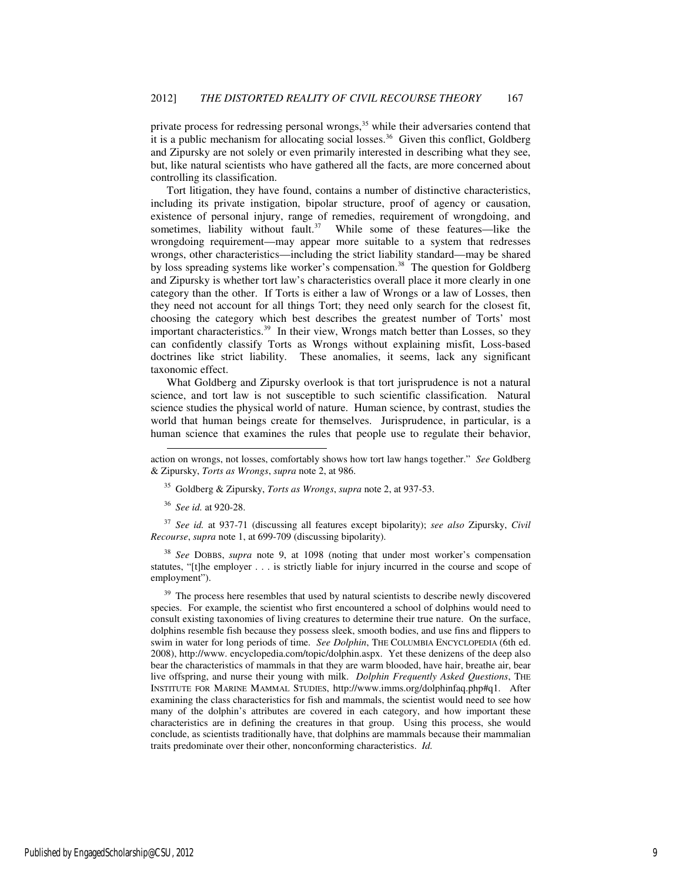private process for redressing personal wrongs,<sup>35</sup> while their adversaries contend that it is a public mechanism for allocating social losses.<sup>36</sup> Given this conflict, Goldberg and Zipursky are not solely or even primarily interested in describing what they see, but, like natural scientists who have gathered all the facts, are more concerned about controlling its classification.

Tort litigation, they have found, contains a number of distinctive characteristics, including its private instigation, bipolar structure, proof of agency or causation, existence of personal injury, range of remedies, requirement of wrongdoing, and sometimes, liability without fault. $37$  While some of these features—like the wrongdoing requirement—may appear more suitable to a system that redresses wrongs, other characteristics—including the strict liability standard—may be shared by loss spreading systems like worker's compensation.<sup>38</sup> The question for Goldberg and Zipursky is whether tort law's characteristics overall place it more clearly in one category than the other. If Torts is either a law of Wrongs or a law of Losses, then they need not account for all things Tort; they need only search for the closest fit, choosing the category which best describes the greatest number of Torts' most important characteristics.<sup>39</sup> In their view, Wrongs match better than Losses, so they can confidently classify Torts as Wrongs without explaining misfit, Loss-based doctrines like strict liability. These anomalies, it seems, lack any significant taxonomic effect.

What Goldberg and Zipursky overlook is that tort jurisprudence is not a natural science, and tort law is not susceptible to such scientific classification. Natural science studies the physical world of nature. Human science, by contrast, studies the world that human beings create for themselves. Jurisprudence, in particular, is a human science that examines the rules that people use to regulate their behavior,

<sup>35</sup> Goldberg & Zipursky, *Torts as Wrongs*, *supra* note 2, at 937-53.

<sup>36</sup> *See id.* at 920-28.

j

<sup>37</sup> *See id.* at 937-71 (discussing all features except bipolarity); *see also* Zipursky, *Civil Recourse*, *supra* note 1, at 699-709 (discussing bipolarity).

<sup>38</sup> *See* DOBBS, *supra* note 9, at 1098 (noting that under most worker's compensation statutes, "[t]he employer . . . is strictly liable for injury incurred in the course and scope of employment").

 $39$  The process here resembles that used by natural scientists to describe newly discovered species. For example, the scientist who first encountered a school of dolphins would need to consult existing taxonomies of living creatures to determine their true nature. On the surface, dolphins resemble fish because they possess sleek, smooth bodies, and use fins and flippers to swim in water for long periods of time. *See Dolphin*, THE COLUMBIA ENCYCLOPEDIA (6th ed. 2008), http://www. encyclopedia.com/topic/dolphin.aspx. Yet these denizens of the deep also bear the characteristics of mammals in that they are warm blooded, have hair, breathe air, bear live offspring, and nurse their young with milk. *Dolphin Frequently Asked Questions*, THE INSTITUTE FOR MARINE MAMMAL STUDIES, http://www.imms.org/dolphinfaq.php#q1. After examining the class characteristics for fish and mammals, the scientist would need to see how many of the dolphin's attributes are covered in each category, and how important these characteristics are in defining the creatures in that group. Using this process, she would conclude, as scientists traditionally have, that dolphins are mammals because their mammalian traits predominate over their other, nonconforming characteristics. *Id.* 

action on wrongs, not losses, comfortably shows how tort law hangs together." *See* Goldberg & Zipursky, *Torts as Wrongs*, *supra* note 2, at 986.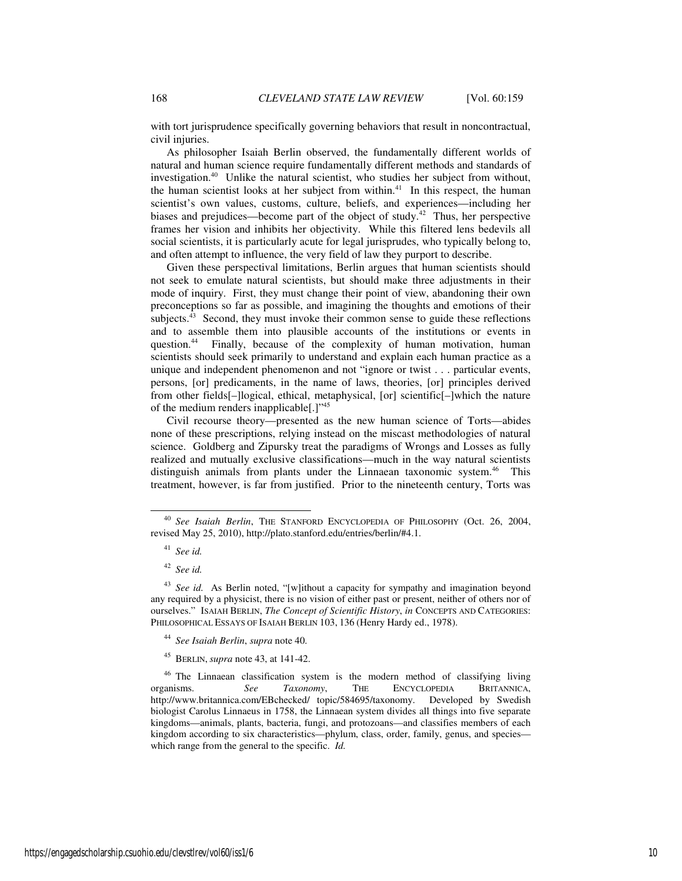with tort jurisprudence specifically governing behaviors that result in noncontractual, civil injuries.

As philosopher Isaiah Berlin observed, the fundamentally different worlds of natural and human science require fundamentally different methods and standards of investigation.<sup>40</sup> Unlike the natural scientist, who studies her subject from without, the human scientist looks at her subject from within.<sup>41</sup> In this respect, the human scientist's own values, customs, culture, beliefs, and experiences—including her biases and prejudices—become part of the object of study.<sup>42</sup> Thus, her perspective frames her vision and inhibits her objectivity. While this filtered lens bedevils all social scientists, it is particularly acute for legal jurisprudes, who typically belong to, and often attempt to influence, the very field of law they purport to describe.

Given these perspectival limitations, Berlin argues that human scientists should not seek to emulate natural scientists, but should make three adjustments in their mode of inquiry. First, they must change their point of view, abandoning their own preconceptions so far as possible, and imagining the thoughts and emotions of their subjects. $43$  Second, they must invoke their common sense to guide these reflections and to assemble them into plausible accounts of the institutions or events in question.<sup>44</sup> Finally, because of the complexity of human motivation, human scientists should seek primarily to understand and explain each human practice as a unique and independent phenomenon and not "ignore or twist . . . particular events, persons, [or] predicaments, in the name of laws, theories, [or] principles derived from other fields[–]logical, ethical, metaphysical, [or] scientific[–]which the nature of the medium renders inapplicable[.]"<sup>45</sup>

Civil recourse theory—presented as the new human science of Torts—abides none of these prescriptions, relying instead on the miscast methodologies of natural science. Goldberg and Zipursky treat the paradigms of Wrongs and Losses as fully realized and mutually exclusive classifications—much in the way natural scientists distinguish animals from plants under the Linnaean taxonomic system.<sup>46</sup> This treatment, however, is far from justified. Prior to the nineteenth century, Torts was

-

- <sup>44</sup> *See Isaiah Berlin*, *supra* note 40.
- <sup>45</sup> BERLIN, *supra* note 43, at 141-42.

<sup>40</sup> *See Isaiah Berlin*, THE STANFORD ENCYCLOPEDIA OF PHILOSOPHY (Oct. 26, 2004, revised May 25, 2010), http://plato.stanford.edu/entries/berlin/#4.1.

<sup>41</sup> *See id.*

<sup>42</sup> *See id.*

<sup>43</sup> *See id.* As Berlin noted, "[w]ithout a capacity for sympathy and imagination beyond any required by a physicist, there is no vision of either past or present, neither of others nor of ourselves." ISAIAH BERLIN, *The Concept of Scientific History*, *in* CONCEPTS AND CATEGORIES: PHILOSOPHICAL ESSAYS OF ISAIAH BERLIN 103, 136 (Henry Hardy ed., 1978).

<sup>&</sup>lt;sup>46</sup> The Linnaean classification system is the modern method of classifying living organisms. *See Taxonomy*, THE ENCYCLOPEDIA BRITANNICA. Taxonomy, THE ENCYCLOPEDIA BRITANNICA, http://www.britannica.com/EBchecked/ topic/584695/taxonomy. Developed by Swedish biologist Carolus Linnaeus in 1758, the Linnaean system divides all things into five separate kingdoms—animals, plants, bacteria, fungi, and protozoans—and classifies members of each kingdom according to six characteristics—phylum, class, order, family, genus, and species which range from the general to the specific. *Id.*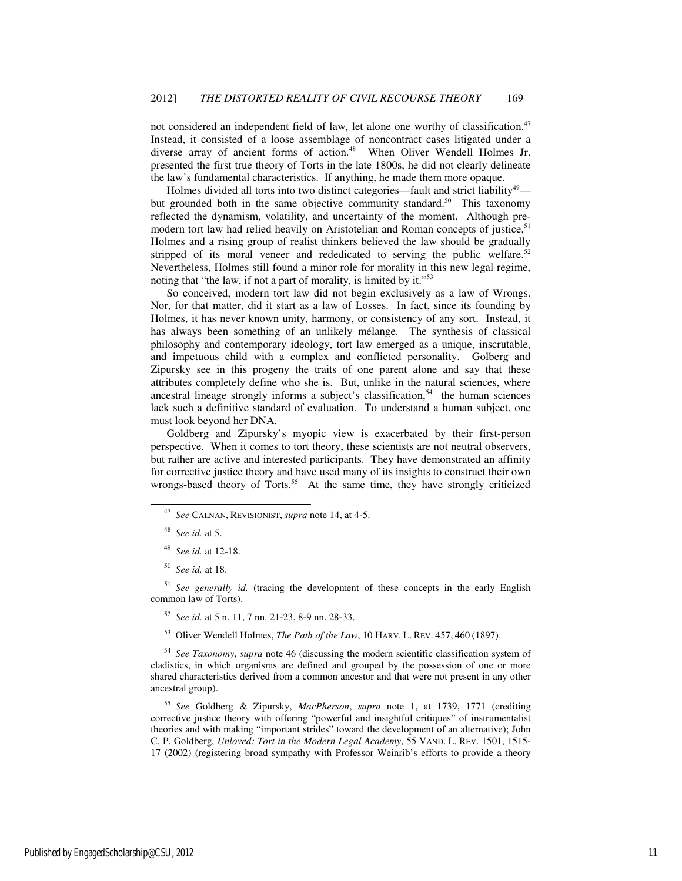not considered an independent field of law, let alone one worthy of classification.<sup>47</sup> Instead, it consisted of a loose assemblage of noncontract cases litigated under a diverse array of ancient forms of action.<sup>48</sup> When Oliver Wendell Holmes Jr. presented the first true theory of Torts in the late 1800s, he did not clearly delineate the law's fundamental characteristics. If anything, he made them more opaque.

Holmes divided all torts into two distinct categories—fault and strict liability<sup>49</sup> but grounded both in the same objective community standard.<sup>50</sup> This taxonomy reflected the dynamism, volatility, and uncertainty of the moment. Although premodern tort law had relied heavily on Aristotelian and Roman concepts of justice.<sup>51</sup> Holmes and a rising group of realist thinkers believed the law should be gradually stripped of its moral veneer and rededicated to serving the public welfare.<sup>52</sup> Nevertheless, Holmes still found a minor role for morality in this new legal regime, noting that "the law, if not a part of morality, is limited by it."<sup>53</sup>

So conceived, modern tort law did not begin exclusively as a law of Wrongs. Nor, for that matter, did it start as a law of Losses. In fact, since its founding by Holmes, it has never known unity, harmony, or consistency of any sort. Instead, it has always been something of an unlikely mélange. The synthesis of classical philosophy and contemporary ideology, tort law emerged as a unique, inscrutable, and impetuous child with a complex and conflicted personality. Golberg and Zipursky see in this progeny the traits of one parent alone and say that these attributes completely define who she is. But, unlike in the natural sciences, where ancestral lineage strongly informs a subject's classification, $54$  the human sciences lack such a definitive standard of evaluation. To understand a human subject, one must look beyond her DNA.

Goldberg and Zipursky's myopic view is exacerbated by their first-person perspective. When it comes to tort theory, these scientists are not neutral observers, but rather are active and interested participants. They have demonstrated an affinity for corrective justice theory and have used many of its insights to construct their own wrongs-based theory of Torts.<sup>55</sup> At the same time, they have strongly criticized

-

<sup>51</sup> *See generally id.* (tracing the development of these concepts in the early English common law of Torts).

<sup>52</sup> *See id.* at 5 n. 11, 7 nn. 21-23, 8-9 nn. 28-33.

<sup>53</sup> Oliver Wendell Holmes, *The Path of the Law*, 10 HARV. L. REV. 457, 460 (1897).

<sup>54</sup> *See Taxonomy*, *supra* note 46 (discussing the modern scientific classification system of cladistics, in which organisms are defined and grouped by the possession of one or more shared characteristics derived from a common ancestor and that were not present in any other ancestral group).

<sup>55</sup> *See* Goldberg & Zipursky, *MacPherson*, *supra* note 1, at 1739, 1771 (crediting corrective justice theory with offering "powerful and insightful critiques" of instrumentalist theories and with making "important strides" toward the development of an alternative); John C. P. Goldberg, *Unloved: Tort in the Modern Legal Academy*, 55 VAND. L. REV. 1501, 1515- 17 (2002) (registering broad sympathy with Professor Weinrib's efforts to provide a theory

<sup>47</sup> *See* CALNAN, REVISIONIST, *supra* note 14, at 4-5.

<sup>48</sup> *See id.* at 5.

<sup>49</sup> *See id.* at 12-18.

<sup>50</sup> *See id.* at 18.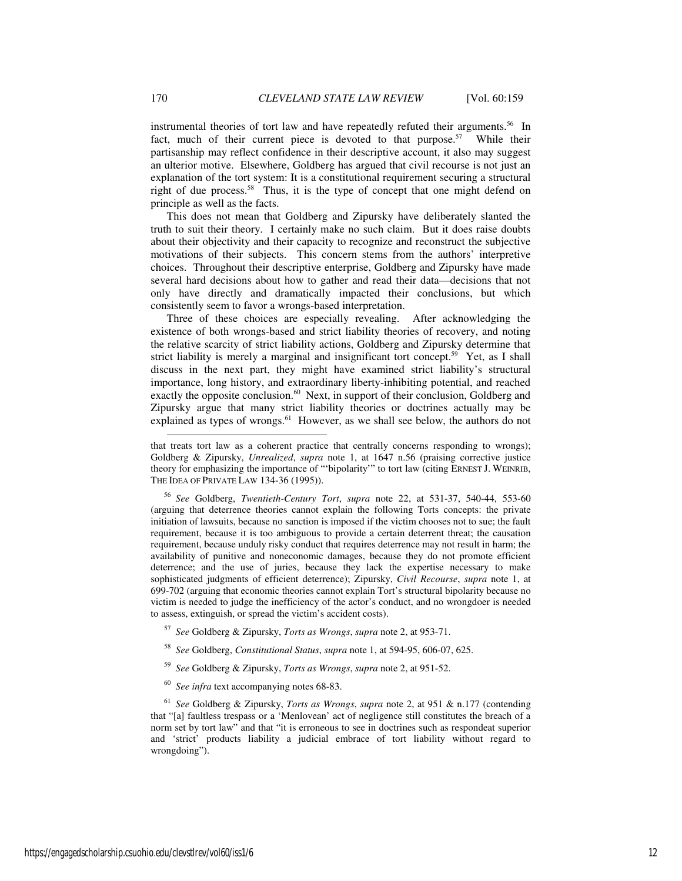instrumental theories of tort law and have repeatedly refuted their arguments.<sup>56</sup> In fact, much of their current piece is devoted to that purpose.<sup>57</sup> While their partisanship may reflect confidence in their descriptive account, it also may suggest an ulterior motive. Elsewhere, Goldberg has argued that civil recourse is not just an explanation of the tort system: It is a constitutional requirement securing a structural right of due process.<sup>58</sup> Thus, it is the type of concept that one might defend on principle as well as the facts.

This does not mean that Goldberg and Zipursky have deliberately slanted the truth to suit their theory. I certainly make no such claim. But it does raise doubts about their objectivity and their capacity to recognize and reconstruct the subjective motivations of their subjects. This concern stems from the authors' interpretive choices. Throughout their descriptive enterprise, Goldberg and Zipursky have made several hard decisions about how to gather and read their data—decisions that not only have directly and dramatically impacted their conclusions, but which consistently seem to favor a wrongs-based interpretation.

Three of these choices are especially revealing. After acknowledging the existence of both wrongs-based and strict liability theories of recovery, and noting the relative scarcity of strict liability actions, Goldberg and Zipursky determine that strict liability is merely a marginal and insignificant tort concept.<sup>59</sup> Yet, as I shall discuss in the next part, they might have examined strict liability's structural importance, long history, and extraordinary liberty-inhibiting potential, and reached exactly the opposite conclusion.<sup>60</sup> Next, in support of their conclusion, Goldberg and Zipursky argue that many strict liability theories or doctrines actually may be explained as types of wrongs.<sup>61</sup> However, as we shall see below, the authors do not

<sup>56</sup> *See* Goldberg, *Twentieth-Century Tort*, *supra* note 22, at 531-37, 540-44, 553-60 (arguing that deterrence theories cannot explain the following Torts concepts: the private initiation of lawsuits, because no sanction is imposed if the victim chooses not to sue; the fault requirement, because it is too ambiguous to provide a certain deterrent threat; the causation requirement, because unduly risky conduct that requires deterrence may not result in harm; the availability of punitive and noneconomic damages, because they do not promote efficient deterrence; and the use of juries, because they lack the expertise necessary to make sophisticated judgments of efficient deterrence); Zipursky, *Civil Recourse*, *supra* note 1, at 699-702 (arguing that economic theories cannot explain Tort's structural bipolarity because no victim is needed to judge the inefficiency of the actor's conduct, and no wrongdoer is needed to assess, extinguish, or spread the victim's accident costs).

- <sup>57</sup> *See* Goldberg & Zipursky, *Torts as Wrongs*, *supra* note 2, at 953-71.
- <sup>58</sup> *See* Goldberg, *Constitutional Status*, *supra* note 1, at 594-95, 606-07, 625.
- <sup>59</sup> *See* Goldberg & Zipursky, *Torts as Wrongs*, *supra* note 2, at 951-52.
- <sup>60</sup> *See infra* text accompanying notes 68-83.

<sup>61</sup> *See* Goldberg & Zipursky, *Torts as Wrongs*, *supra* note 2, at 951 & n.177 (contending that "[a] faultless trespass or a 'Menlovean' act of negligence still constitutes the breach of a norm set by tort law" and that "it is erroneous to see in doctrines such as respondeat superior and 'strict' products liability a judicial embrace of tort liability without regard to wrongdoing").

-

that treats tort law as a coherent practice that centrally concerns responding to wrongs); Goldberg & Zipursky, *Unrealized*, *supra* note 1, at 1647 n.56 (praising corrective justice theory for emphasizing the importance of "'bipolarity'" to tort law (citing ERNEST J. WEINRIB, THE IDEA OF PRIVATE LAW 134-36 (1995)).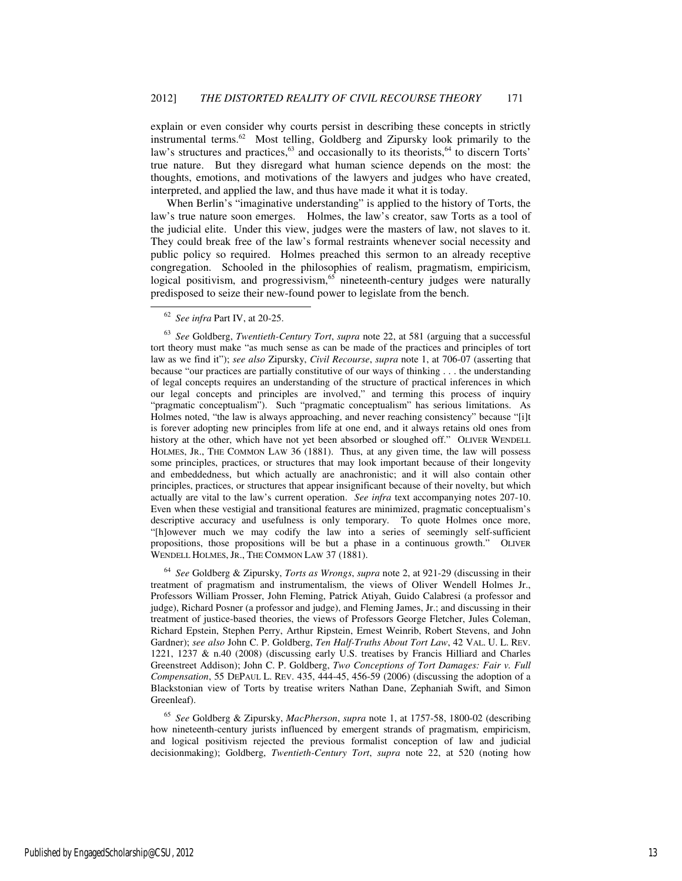explain or even consider why courts persist in describing these concepts in strictly instrumental terms.<sup>62</sup> Most telling, Goldberg and Zipursky look primarily to the law's structures and practices,<sup>63</sup> and occasionally to its theorists,<sup>64</sup> to discern Torts' true nature. But they disregard what human science depends on the most: the thoughts, emotions, and motivations of the lawyers and judges who have created, interpreted, and applied the law, and thus have made it what it is today.

When Berlin's "imaginative understanding" is applied to the history of Torts, the law's true nature soon emerges. Holmes, the law's creator, saw Torts as a tool of the judicial elite. Under this view, judges were the masters of law, not slaves to it. They could break free of the law's formal restraints whenever social necessity and public policy so required. Holmes preached this sermon to an already receptive congregation. Schooled in the philosophies of realism, pragmatism, empiricism, logical positivism, and progressivism,<sup>65</sup> nineteenth-century judges were naturally predisposed to seize their new-found power to legislate from the bench.

-

<sup>63</sup> *See* Goldberg, *Twentieth-Century Tort*, *supra* note 22, at 581 (arguing that a successful tort theory must make "as much sense as can be made of the practices and principles of tort law as we find it"); *see also* Zipursky, *Civil Recourse*, *supra* note 1, at 706-07 (asserting that because "our practices are partially constitutive of our ways of thinking . . . the understanding of legal concepts requires an understanding of the structure of practical inferences in which our legal concepts and principles are involved," and terming this process of inquiry "pragmatic conceptualism"). Such "pragmatic conceptualism" has serious limitations. As Holmes noted, "the law is always approaching, and never reaching consistency" because "[i]t is forever adopting new principles from life at one end, and it always retains old ones from history at the other, which have not yet been absorbed or sloughed off." OLIVER WENDELL HOLMES, JR., THE COMMON LAW 36 (1881). Thus, at any given time, the law will possess some principles, practices, or structures that may look important because of their longevity and embeddedness, but which actually are anachronistic; and it will also contain other principles, practices, or structures that appear insignificant because of their novelty, but which actually are vital to the law's current operation. *See infra* text accompanying notes 207-10. Even when these vestigial and transitional features are minimized, pragmatic conceptualism's descriptive accuracy and usefulness is only temporary. To quote Holmes once more, "[h]owever much we may codify the law into a series of seemingly self-sufficient propositions, those propositions will be but a phase in a continuous growth." OLIVER WENDELL HOLMES, JR., THE COMMON LAW 37 (1881).

<sup>64</sup> *See* Goldberg & Zipursky, *Torts as Wrongs*, *supra* note 2, at 921-29 (discussing in their treatment of pragmatism and instrumentalism, the views of Oliver Wendell Holmes Jr., Professors William Prosser, John Fleming, Patrick Atiyah, Guido Calabresi (a professor and judge), Richard Posner (a professor and judge), and Fleming James, Jr.; and discussing in their treatment of justice-based theories, the views of Professors George Fletcher, Jules Coleman, Richard Epstein, Stephen Perry, Arthur Ripstein, Ernest Weinrib, Robert Stevens, and John Gardner); *see also* John C. P. Goldberg, *Ten Half-Truths About Tort Law*, 42 VAL. U. L. REV. 1221, 1237 & n.40 (2008) (discussing early U.S. treatises by Francis Hilliard and Charles Greenstreet Addison); John C. P. Goldberg, *Two Conceptions of Tort Damages: Fair v. Full Compensation*, 55 DEPAUL L. REV. 435, 444-45, 456-59 (2006) (discussing the adoption of a Blackstonian view of Torts by treatise writers Nathan Dane, Zephaniah Swift, and Simon Greenleaf).

<sup>65</sup> *See* Goldberg & Zipursky, *MacPherson*, *supra* note 1, at 1757-58, 1800-02 (describing how nineteenth-century jurists influenced by emergent strands of pragmatism, empiricism, and logical positivism rejected the previous formalist conception of law and judicial decisionmaking); Goldberg, *Twentieth-Century Tort*, *supra* note 22, at 520 (noting how

<sup>62</sup> *See infra* Part IV, at 20-25.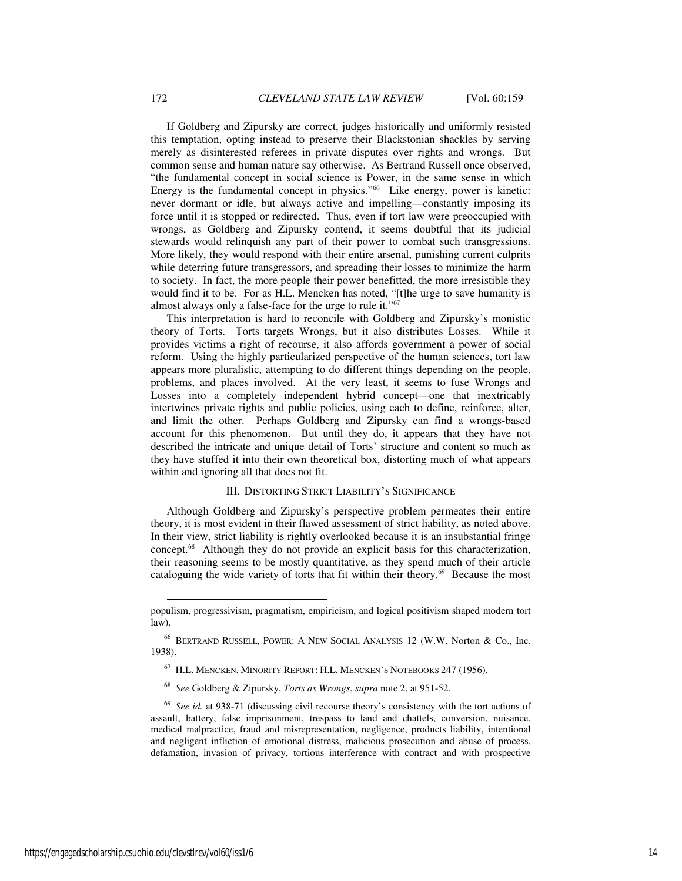If Goldberg and Zipursky are correct, judges historically and uniformly resisted this temptation, opting instead to preserve their Blackstonian shackles by serving merely as disinterested referees in private disputes over rights and wrongs. But common sense and human nature say otherwise. As Bertrand Russell once observed, "the fundamental concept in social science is Power, in the same sense in which Energy is the fundamental concept in physics." $66$  Like energy, power is kinetic: never dormant or idle, but always active and impelling—constantly imposing its force until it is stopped or redirected. Thus, even if tort law were preoccupied with wrongs, as Goldberg and Zipursky contend, it seems doubtful that its judicial stewards would relinquish any part of their power to combat such transgressions. More likely, they would respond with their entire arsenal, punishing current culprits while deterring future transgressors, and spreading their losses to minimize the harm to society. In fact, the more people their power benefitted, the more irresistible they would find it to be. For as H.L. Mencken has noted, "[t]he urge to save humanity is almost always only a false-face for the urge to rule it."<sup>67</sup>

This interpretation is hard to reconcile with Goldberg and Zipursky's monistic theory of Torts. Torts targets Wrongs, but it also distributes Losses. While it provides victims a right of recourse, it also affords government a power of social reform. Using the highly particularized perspective of the human sciences, tort law appears more pluralistic, attempting to do different things depending on the people, problems, and places involved. At the very least, it seems to fuse Wrongs and Losses into a completely independent hybrid concept—one that inextricably intertwines private rights and public policies, using each to define, reinforce, alter, and limit the other. Perhaps Goldberg and Zipursky can find a wrongs-based account for this phenomenon. But until they do, it appears that they have not described the intricate and unique detail of Torts' structure and content so much as they have stuffed it into their own theoretical box, distorting much of what appears within and ignoring all that does not fit.

#### III. DISTORTING STRICT LIABILITY'S SIGNIFICANCE

Although Goldberg and Zipursky's perspective problem permeates their entire theory, it is most evident in their flawed assessment of strict liability, as noted above. In their view, strict liability is rightly overlooked because it is an insubstantial fringe concept.<sup>68</sup> Although they do not provide an explicit basis for this characterization, their reasoning seems to be mostly quantitative, as they spend much of their article cataloguing the wide variety of torts that fit within their theory.<sup>69</sup> Because the most

populism, progressivism, pragmatism, empiricism, and logical positivism shaped modern tort law).

<sup>66</sup> BERTRAND RUSSELL, POWER: A NEW SOCIAL ANALYSIS 12 (W.W. Norton & Co., Inc. 1938).

<sup>67</sup> H.L. MENCKEN, MINORITY REPORT: H.L. MENCKEN'S NOTEBOOKS 247 (1956).

<sup>68</sup> *See* Goldberg & Zipursky, *Torts as Wrongs*, *supra* note 2, at 951-52.

<sup>69</sup> *See id.* at 938-71 (discussing civil recourse theory's consistency with the tort actions of assault, battery, false imprisonment, trespass to land and chattels, conversion, nuisance, medical malpractice, fraud and misrepresentation, negligence, products liability, intentional and negligent infliction of emotional distress, malicious prosecution and abuse of process, defamation, invasion of privacy, tortious interference with contract and with prospective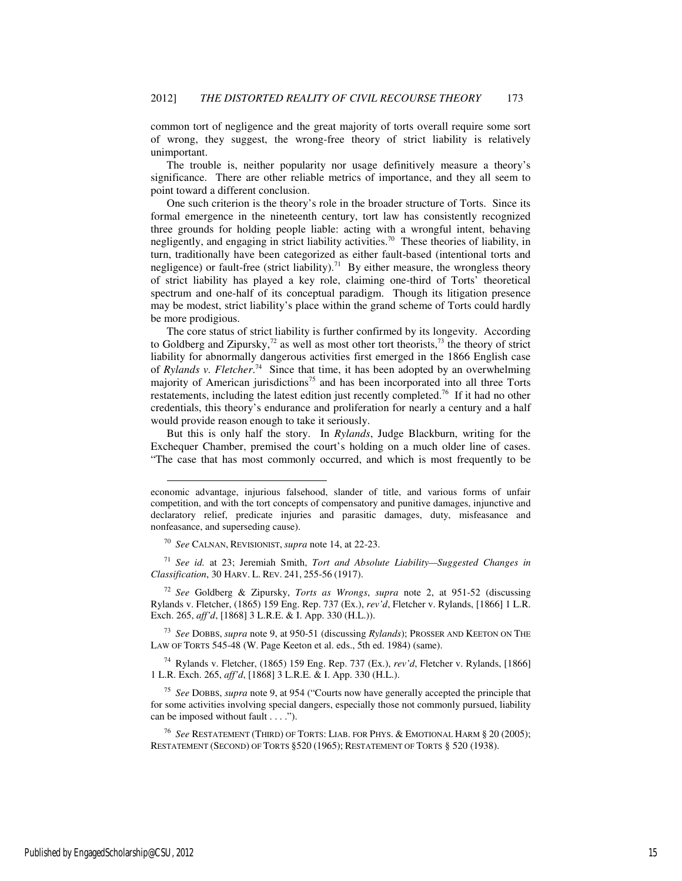common tort of negligence and the great majority of torts overall require some sort of wrong, they suggest, the wrong-free theory of strict liability is relatively unimportant.

The trouble is, neither popularity nor usage definitively measure a theory's significance. There are other reliable metrics of importance, and they all seem to point toward a different conclusion.

One such criterion is the theory's role in the broader structure of Torts. Since its formal emergence in the nineteenth century, tort law has consistently recognized three grounds for holding people liable: acting with a wrongful intent, behaving negligently, and engaging in strict liability activities.<sup>70</sup> These theories of liability, in turn, traditionally have been categorized as either fault-based (intentional torts and negligence) or fault-free (strict liability).<sup>71</sup> By either measure, the wrongless theory of strict liability has played a key role, claiming one-third of Torts' theoretical spectrum and one-half of its conceptual paradigm. Though its litigation presence may be modest, strict liability's place within the grand scheme of Torts could hardly be more prodigious.

The core status of strict liability is further confirmed by its longevity. According to Goldberg and Zipursky, $^{72}$  as well as most other tort theorists, $^{73}$  the theory of strict liability for abnormally dangerous activities first emerged in the 1866 English case of *Rylands v. Fletcher*. <sup>74</sup> Since that time, it has been adopted by an overwhelming majority of American jurisdictions<sup>75</sup> and has been incorporated into all three Torts restatements, including the latest edition just recently completed.<sup>76</sup> If it had no other credentials, this theory's endurance and proliferation for nearly a century and a half would provide reason enough to take it seriously.

But this is only half the story. In *Rylands*, Judge Blackburn, writing for the Exchequer Chamber, premised the court's holding on a much older line of cases. "The case that has most commonly occurred, and which is most frequently to be

-

<sup>74</sup> Rylands v. Fletcher, (1865) 159 Eng. Rep. 737 (Ex.), *rev'd*, Fletcher v. Rylands, [1866] 1 L.R. Exch. 265, *aff'd*, [1868] 3 L.R.E. & I. App. 330 (H.L.).

economic advantage, injurious falsehood, slander of title, and various forms of unfair competition, and with the tort concepts of compensatory and punitive damages, injunctive and declaratory relief, predicate injuries and parasitic damages, duty, misfeasance and nonfeasance, and superseding cause).

<sup>70</sup> *See* CALNAN, REVISIONIST, *supra* note 14, at 22-23.

<sup>71</sup> *See id.* at 23; Jeremiah Smith, *Tort and Absolute Liability—Suggested Changes in Classification*, 30 HARV. L. REV. 241, 255-56 (1917).

<sup>72</sup> *See* Goldberg & Zipursky, *Torts as Wrongs*, *supra* note 2, at 951-52 (discussing Rylands v. Fletcher, (1865) 159 Eng. Rep. 737 (Ex.), *rev'd*, Fletcher v. Rylands, [1866] 1 L.R. Exch. 265, *aff'd*, [1868] 3 L.R.E. & I. App. 330 (H.L.)).

<sup>73</sup> *See* DOBBS, *supra* note 9, at 950-51 (discussing *Rylands*); PROSSER AND KEETON ON THE LAW OF TORTS 545-48 (W. Page Keeton et al. eds., 5th ed. 1984) (same).

<sup>75</sup> *See* DOBBS, *supra* note 9, at 954 ("Courts now have generally accepted the principle that for some activities involving special dangers, especially those not commonly pursued, liability can be imposed without fault . . . .").

<sup>76</sup> *See* RESTATEMENT (THIRD) OF TORTS: LIAB. FOR PHYS. & EMOTIONAL HARM § 20 (2005); RESTATEMENT (SECOND) OF TORTS §520 (1965); RESTATEMENT OF TORTS § 520 (1938).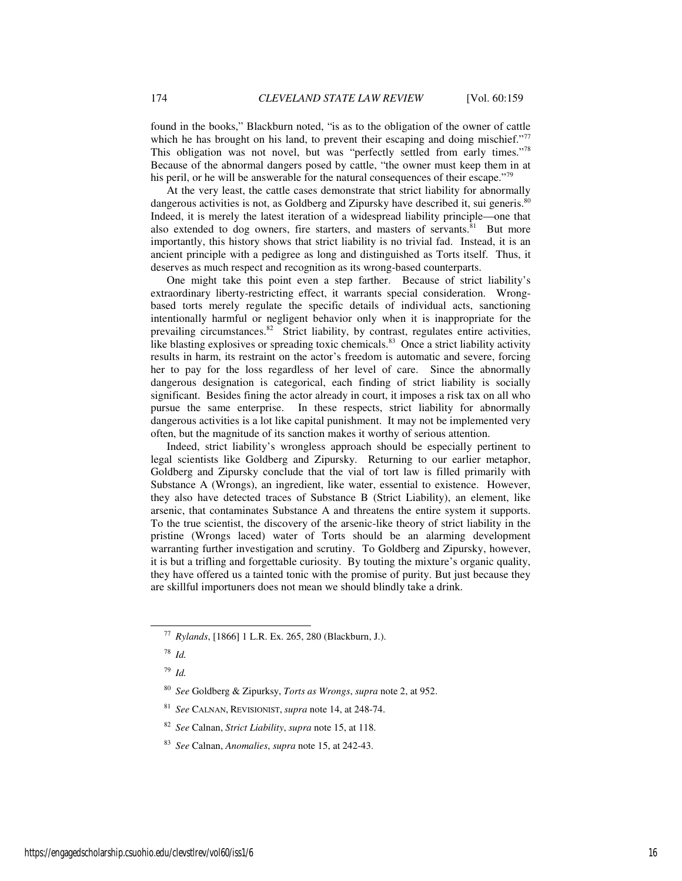found in the books," Blackburn noted, "is as to the obligation of the owner of cattle which he has brought on his land, to prevent their escaping and doing mischief."<sup>77</sup> This obligation was not novel, but was "perfectly settled from early times."<sup>78</sup> Because of the abnormal dangers posed by cattle, "the owner must keep them in at his peril, or he will be answerable for the natural consequences of their escape."<sup>79</sup>

At the very least, the cattle cases demonstrate that strict liability for abnormally dangerous activities is not, as Goldberg and Zipursky have described it, sui generis.<sup>80</sup> Indeed, it is merely the latest iteration of a widespread liability principle—one that also extended to dog owners, fire starters, and masters of servants. ${}^{81}$  But more importantly, this history shows that strict liability is no trivial fad. Instead, it is an ancient principle with a pedigree as long and distinguished as Torts itself. Thus, it deserves as much respect and recognition as its wrong-based counterparts.

One might take this point even a step farther. Because of strict liability's extraordinary liberty-restricting effect, it warrants special consideration. Wrongbased torts merely regulate the specific details of individual acts, sanctioning intentionally harmful or negligent behavior only when it is inappropriate for the prevailing circumstances.<sup>82</sup> Strict liability, by contrast, regulates entire activities, like blasting explosives or spreading toxic chemicals.<sup>83</sup> Once a strict liability activity results in harm, its restraint on the actor's freedom is automatic and severe, forcing her to pay for the loss regardless of her level of care. Since the abnormally dangerous designation is categorical, each finding of strict liability is socially significant. Besides fining the actor already in court, it imposes a risk tax on all who pursue the same enterprise. In these respects, strict liability for abnormally dangerous activities is a lot like capital punishment. It may not be implemented very often, but the magnitude of its sanction makes it worthy of serious attention.

Indeed, strict liability's wrongless approach should be especially pertinent to legal scientists like Goldberg and Zipursky. Returning to our earlier metaphor, Goldberg and Zipursky conclude that the vial of tort law is filled primarily with Substance A (Wrongs), an ingredient, like water, essential to existence. However, they also have detected traces of Substance B (Strict Liability), an element, like arsenic, that contaminates Substance A and threatens the entire system it supports. To the true scientist, the discovery of the arsenic-like theory of strict liability in the pristine (Wrongs laced) water of Torts should be an alarming development warranting further investigation and scrutiny. To Goldberg and Zipursky, however, it is but a trifling and forgettable curiosity. By touting the mixture's organic quality, they have offered us a tainted tonic with the promise of purity. But just because they are skillful importuners does not mean we should blindly take a drink.

<sup>78</sup> *Id.*

-

<sup>79</sup> *Id.*

<sup>77</sup> *Rylands*, [1866] 1 L.R. Ex. 265, 280 (Blackburn, J.).

<sup>80</sup> *See* Goldberg & Zipurksy, *Torts as Wrongs*, *supra* note 2, at 952.

<sup>81</sup> *See* CALNAN, REVISIONIST, *supra* note 14, at 248-74.

<sup>82</sup> *See* Calnan, *Strict Liability*, *supra* note 15, at 118.

<sup>83</sup> *See* Calnan, *Anomalies*, *supra* note 15, at 242-43.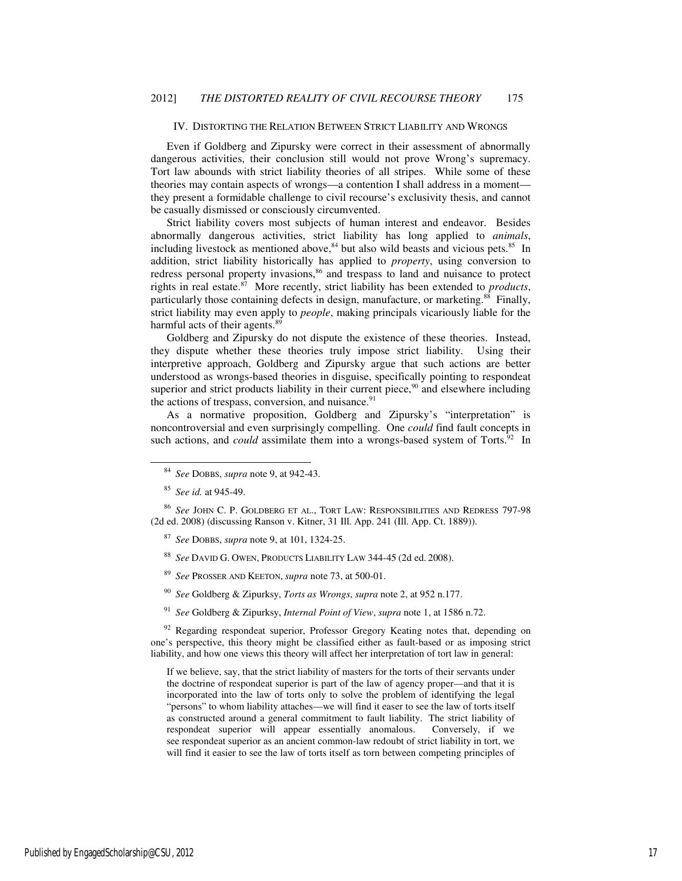#### IV. DISTORTING THE RELATION BETWEEN STRICT LIABILITY AND WRONGS

Even if Goldberg and Zipursky were correct in their assessment of abnormally dangerous activities, their conclusion still would not prove Wrong's supremacy. Tort law abounds with strict liability theories of all stripes. While some of these theories may contain aspects of wrongs—a contention I shall address in a moment they present a formidable challenge to civil recourse's exclusivity thesis, and cannot be casually dismissed or consciously circumvented.

Strict liability covers most subjects of human interest and endeavor. Besides abnormally dangerous activities, strict liability has long applied to *animals*, including livestock as mentioned above, $84$  but also wild beasts and vicious pets. $85$  In addition, strict liability historically has applied to *property*, using conversion to redress personal property invasions,<sup>86</sup> and trespass to land and nuisance to protect rights in real estate.<sup>87</sup> More recently, strict liability has been extended to *products*, particularly those containing defects in design, manufacture, or marketing.<sup>88</sup> Finally, strict liability may even apply to *people*, making principals vicariously liable for the harmful acts of their agents.<sup>89</sup>

Goldberg and Zipursky do not dispute the existence of these theories. Instead, they dispute whether these theories truly impose strict liability. Using their interpretive approach, Goldberg and Zipursky argue that such actions are better understood as wrongs-based theories in disguise, specifically pointing to respondeat superior and strict products liability in their current piece, $90$  and elsewhere including the actions of trespass, conversion, and nuisance. $91$ 

As a normative proposition, Goldberg and Zipursky's "interpretation" is noncontroversial and even surprisingly compelling. One *could* find fault concepts in such actions, and *could* assimilate them into a wrongs-based system of Torts.<sup>92</sup> In

j

<sup>86</sup> *See* JOHN C. P. GOLDBERG ET AL., TORT LAW: RESPONSIBILITIES AND REDRESS 797-98 (2d ed. 2008) (discussing Ranson v. Kitner, 31 Ill. App. 241 (Ill. App. Ct. 1889)).

- <sup>87</sup> *See* DOBBS, *supra* note 9, at 101, 1324-25.
- <sup>88</sup> *See* DAVID G. OWEN, PRODUCTS LIABILITY LAW 344-45 (2d ed. 2008).
- See PROSSER AND KEETON, *supra* note 73, at 500-01.
- <sup>90</sup> *See* Goldberg & Zipurksy, *Torts as Wrongs*, *supra* note 2, at 952 n.177.
- <sup>91</sup> *See* Goldberg & Zipurksy, *Internal Point of View*, *supra* note 1, at 1586 n.72.

 $92$  Regarding respondeat superior, Professor Gregory Keating notes that, depending on one's perspective, this theory might be classified either as fault-based or as imposing strict liability, and how one views this theory will affect her interpretation of tort law in general:

If we believe, say, that the strict liability of masters for the torts of their servants under the doctrine of respondeat superior is part of the law of agency proper—and that it is incorporated into the law of torts only to solve the problem of identifying the legal "persons" to whom liability attaches—we will find it easer to see the law of torts itself as constructed around a general commitment to fault liability. The strict liability of respondeat superior will appear essentially anomalous. Conversely, if we see respondeat superior as an ancient common-law redoubt of strict liability in tort, we will find it easier to see the law of torts itself as torn between competing principles of

<sup>84</sup> *See* DOBBS, *supra* note 9, at 942-43.

<sup>85</sup> *See id.* at 945-49.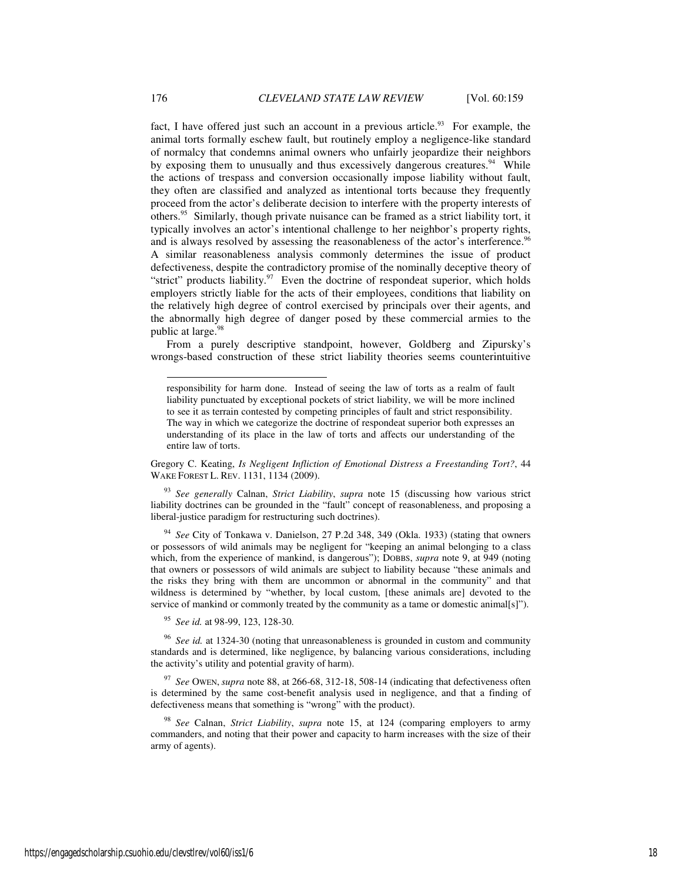fact, I have offered just such an account in a previous article.<sup>93</sup> For example, the animal torts formally eschew fault, but routinely employ a negligence-like standard of normalcy that condemns animal owners who unfairly jeopardize their neighbors by exposing them to unusually and thus excessively dangerous creatures.<sup>94</sup> While the actions of trespass and conversion occasionally impose liability without fault, they often are classified and analyzed as intentional torts because they frequently proceed from the actor's deliberate decision to interfere with the property interests of others.<sup>95</sup> Similarly, though private nuisance can be framed as a strict liability tort, it typically involves an actor's intentional challenge to her neighbor's property rights, and is always resolved by assessing the reasonableness of the actor's interference.<sup>96</sup> A similar reasonableness analysis commonly determines the issue of product defectiveness, despite the contradictory promise of the nominally deceptive theory of "strict" products liability. $97$  Even the doctrine of respondeat superior, which holds employers strictly liable for the acts of their employees, conditions that liability on the relatively high degree of control exercised by principals over their agents, and the abnormally high degree of danger posed by these commercial armies to the public at large.<sup>98</sup>

From a purely descriptive standpoint, however, Goldberg and Zipursky's wrongs-based construction of these strict liability theories seems counterintuitive

Gregory C. Keating, *Is Negligent Infliction of Emotional Distress a Freestanding Tort?*, 44 WAKE FOREST L. REV. 1131, 1134 (2009).

<sup>93</sup> *See generally* Calnan, *Strict Liability*, *supra* note 15 (discussing how various strict liability doctrines can be grounded in the "fault" concept of reasonableness, and proposing a liberal-justice paradigm for restructuring such doctrines).

<sup>94</sup> *See* City of Tonkawa v. Danielson, 27 P.2d 348, 349 (Okla. 1933) (stating that owners or possessors of wild animals may be negligent for "keeping an animal belonging to a class which, from the experience of mankind, is dangerous"); DOBBS, *supra* note 9, at 949 (noting that owners or possessors of wild animals are subject to liability because "these animals and the risks they bring with them are uncommon or abnormal in the community" and that wildness is determined by "whether, by local custom, [these animals are] devoted to the service of mankind or commonly treated by the community as a tame or domestic animal[s]").

<sup>95</sup> *See id.* at 98-99, 123, 128-30.

See id. at 1324-30 (noting that unreasonableness is grounded in custom and community standards and is determined, like negligence, by balancing various considerations, including the activity's utility and potential gravity of harm).

<sup>97</sup> *See* OWEN, *supra* note 88, at 266-68, 312-18, 508-14 (indicating that defectiveness often is determined by the same cost-benefit analysis used in negligence, and that a finding of defectiveness means that something is "wrong" with the product).

<sup>98</sup> *See* Calnan, *Strict Liability*, *supra* note 15, at 124 (comparing employers to army commanders, and noting that their power and capacity to harm increases with the size of their army of agents).

responsibility for harm done. Instead of seeing the law of torts as a realm of fault liability punctuated by exceptional pockets of strict liability, we will be more inclined to see it as terrain contested by competing principles of fault and strict responsibility. The way in which we categorize the doctrine of respondeat superior both expresses an understanding of its place in the law of torts and affects our understanding of the entire law of torts.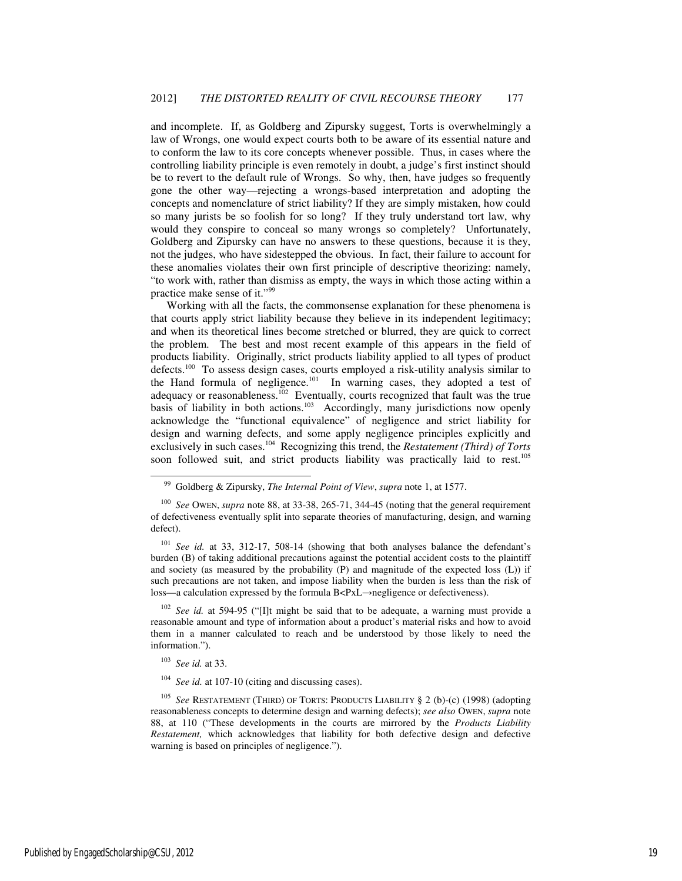and incomplete. If, as Goldberg and Zipursky suggest, Torts is overwhelmingly a law of Wrongs, one would expect courts both to be aware of its essential nature and to conform the law to its core concepts whenever possible. Thus, in cases where the controlling liability principle is even remotely in doubt, a judge's first instinct should be to revert to the default rule of Wrongs. So why, then, have judges so frequently gone the other way—rejecting a wrongs-based interpretation and adopting the concepts and nomenclature of strict liability? If they are simply mistaken, how could so many jurists be so foolish for so long? If they truly understand tort law, why would they conspire to conceal so many wrongs so completely? Unfortunately, Goldberg and Zipursky can have no answers to these questions, because it is they, not the judges, who have sidestepped the obvious. In fact, their failure to account for these anomalies violates their own first principle of descriptive theorizing: namely, "to work with, rather than dismiss as empty, the ways in which those acting within a practice make sense of it."<sup>99</sup>

Working with all the facts, the commonsense explanation for these phenomena is that courts apply strict liability because they believe in its independent legitimacy; and when its theoretical lines become stretched or blurred, they are quick to correct the problem. The best and most recent example of this appears in the field of products liability. Originally, strict products liability applied to all types of product defects.<sup>100</sup> To assess design cases, courts employed a risk-utility analysis similar to the Hand formula of negligence.<sup>101</sup> In warning cases, they adopted a test of adequacy or reasonableness.<sup>102</sup> Eventually, courts recognized that fault was the true basis of liability in both actions.<sup>103</sup> Accordingly, many jurisdictions now openly acknowledge the "functional equivalence" of negligence and strict liability for design and warning defects, and some apply negligence principles explicitly and exclusively in such cases.<sup>104</sup> Recognizing this trend, the *Restatement (Third) of Torts* soon followed suit, and strict products liability was practically laid to rest.<sup>105</sup>

<sup>101</sup> *See id.* at 33, 312-17, 508-14 (showing that both analyses balance the defendant's burden (B) of taking additional precautions against the potential accident costs to the plaintiff and society (as measured by the probability (P) and magnitude of the expected loss (L)) if such precautions are not taken, and impose liability when the burden is less than the risk of loss—a calculation expressed by the formula B<PxL→negligence or defectiveness).

<sup>102</sup> *See id.* at 594-95 ("[I]t might be said that to be adequate, a warning must provide a reasonable amount and type of information about a product's material risks and how to avoid them in a manner calculated to reach and be understood by those likely to need the information.").

<sup>103</sup> *See id.* at 33.

j

<sup>105</sup> *See* RESTATEMENT (THIRD) OF TORTS: PRODUCTS LIABILITY § 2 (b)-(c) (1998) (adopting reasonableness concepts to determine design and warning defects); *see also* OWEN, *supra* note 88, at 110 ("These developments in the courts are mirrored by the *Products Liability Restatement,* which acknowledges that liability for both defective design and defective warning is based on principles of negligence.").

<sup>99</sup> Goldberg & Zipursky, *The Internal Point of View*, *supra* note 1, at 1577.

<sup>100</sup> *See* OWEN, *supra* note 88, at 33-38, 265-71, 344-45 (noting that the general requirement of defectiveness eventually split into separate theories of manufacturing, design, and warning defect).

<sup>104</sup> *See id.* at 107-10 (citing and discussing cases).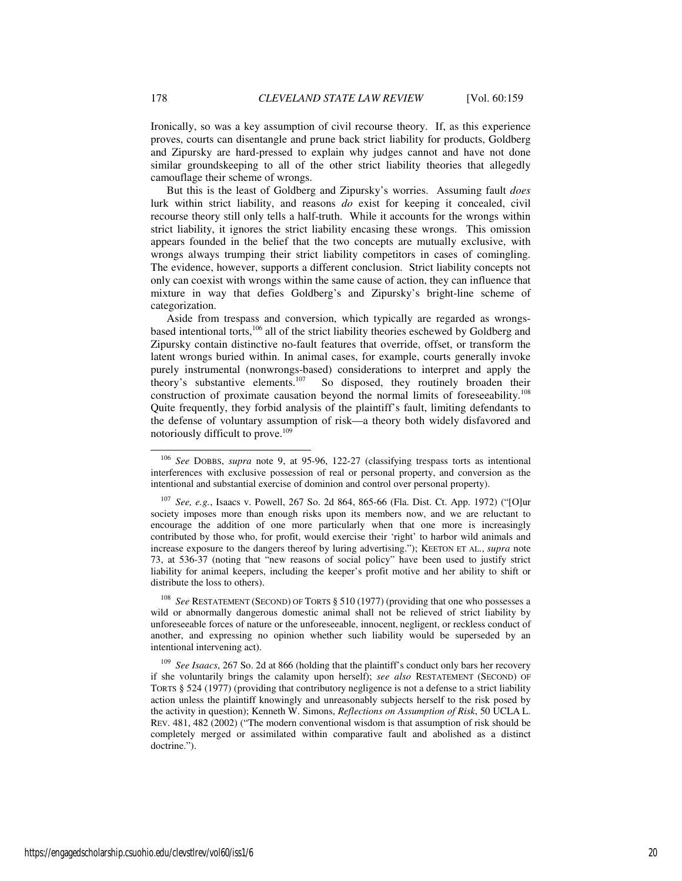Ironically, so was a key assumption of civil recourse theory. If, as this experience proves, courts can disentangle and prune back strict liability for products, Goldberg and Zipursky are hard-pressed to explain why judges cannot and have not done similar groundskeeping to all of the other strict liability theories that allegedly camouflage their scheme of wrongs.

But this is the least of Goldberg and Zipursky's worries. Assuming fault *does* lurk within strict liability, and reasons *do* exist for keeping it concealed, civil recourse theory still only tells a half-truth. While it accounts for the wrongs within strict liability, it ignores the strict liability encasing these wrongs. This omission appears founded in the belief that the two concepts are mutually exclusive, with wrongs always trumping their strict liability competitors in cases of comingling. The evidence, however, supports a different conclusion. Strict liability concepts not only can coexist with wrongs within the same cause of action, they can influence that mixture in way that defies Goldberg's and Zipursky's bright-line scheme of categorization.

Aside from trespass and conversion, which typically are regarded as wrongsbased intentional torts,<sup>106</sup> all of the strict liability theories eschewed by Goldberg and Zipursky contain distinctive no-fault features that override, offset, or transform the latent wrongs buried within. In animal cases, for example, courts generally invoke purely instrumental (nonwrongs-based) considerations to interpret and apply the theory's substantive elements.<sup>107</sup> So disposed, they routinely broaden their construction of proximate causation beyond the normal limits of foreseeability.<sup>108</sup> Quite frequently, they forbid analysis of the plaintiff's fault, limiting defendants to the defense of voluntary assumption of risk—a theory both widely disfavored and notoriously difficult to prove.<sup>109</sup>

See RESTATEMENT (SECOND) OF TORTS § 510 (1977) (providing that one who possesses a wild or abnormally dangerous domestic animal shall not be relieved of strict liability by unforeseeable forces of nature or the unforeseeable, innocent, negligent, or reckless conduct of another, and expressing no opinion whether such liability would be superseded by an intentional intervening act).

-

<sup>106</sup> *See* DOBBS, *supra* note 9, at 95-96, 122-27 (classifying trespass torts as intentional interferences with exclusive possession of real or personal property, and conversion as the intentional and substantial exercise of dominion and control over personal property).

<sup>107</sup> *See, e.g.*, Isaacs v. Powell, 267 So. 2d 864, 865-66 (Fla. Dist. Ct. App. 1972) ("[O]ur society imposes more than enough risks upon its members now, and we are reluctant to encourage the addition of one more particularly when that one more is increasingly contributed by those who, for profit, would exercise their 'right' to harbor wild animals and increase exposure to the dangers thereof by luring advertising."); KEETON ET AL., *supra* note 73, at 536-37 (noting that "new reasons of social policy" have been used to justify strict liability for animal keepers, including the keeper's profit motive and her ability to shift or distribute the loss to others).

<sup>109</sup> *See Isaacs*, 267 So. 2d at 866 (holding that the plaintiff's conduct only bars her recovery if she voluntarily brings the calamity upon herself); *see also* RESTATEMENT (SECOND) OF TORTS § 524 (1977) (providing that contributory negligence is not a defense to a strict liability action unless the plaintiff knowingly and unreasonably subjects herself to the risk posed by the activity in question); Kenneth W. Simons, *Reflections on Assumption of Risk*, 50 UCLA L. REV. 481, 482 (2002) ("The modern conventional wisdom is that assumption of risk should be completely merged or assimilated within comparative fault and abolished as a distinct doctrine.").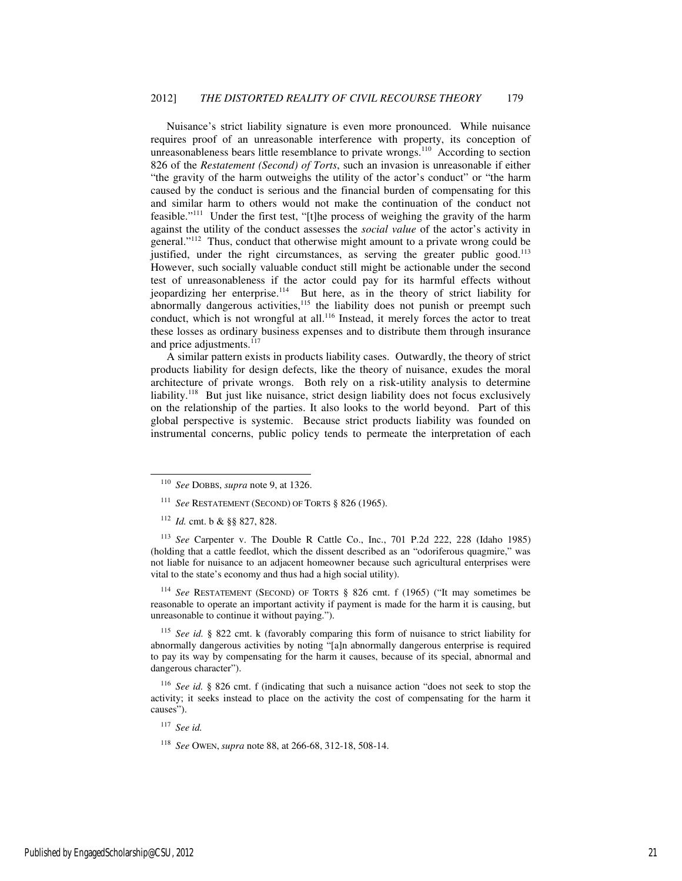Nuisance's strict liability signature is even more pronounced. While nuisance requires proof of an unreasonable interference with property, its conception of unreasonableness bears little resemblance to private wrongs.<sup>110</sup> According to section 826 of the *Restatement (Second) of Torts*, such an invasion is unreasonable if either "the gravity of the harm outweighs the utility of the actor's conduct" or "the harm caused by the conduct is serious and the financial burden of compensating for this and similar harm to others would not make the continuation of the conduct not feasible."<sup>111</sup> Under the first test, "[t]he process of weighing the gravity of the harm against the utility of the conduct assesses the *social value* of the actor's activity in general."<sup>112</sup> Thus, conduct that otherwise might amount to a private wrong could be justified, under the right circumstances, as serving the greater public good.<sup>113</sup> However, such socially valuable conduct still might be actionable under the second test of unreasonableness if the actor could pay for its harmful effects without jeopardizing her enterprise.<sup>114</sup> But here, as in the theory of strict liability for abnormally dangerous activities, $115$  the liability does not punish or preempt such conduct, which is not wrongful at all.<sup>116</sup> Instead, it merely forces the actor to treat these losses as ordinary business expenses and to distribute them through insurance and price adjustments.<sup>117</sup>

A similar pattern exists in products liability cases. Outwardly, the theory of strict products liability for design defects, like the theory of nuisance, exudes the moral architecture of private wrongs. Both rely on a risk-utility analysis to determine liability.<sup>118</sup> But just like nuisance, strict design liability does not focus exclusively on the relationship of the parties. It also looks to the world beyond. Part of this global perspective is systemic. Because strict products liability was founded on instrumental concerns, public policy tends to permeate the interpretation of each

-

<sup>114</sup> *See* RESTATEMENT (SECOND) OF TORTS § 826 cmt. f (1965) ("It may sometimes be reasonable to operate an important activity if payment is made for the harm it is causing, but unreasonable to continue it without paying.").

<sup>115</sup> *See id.* § 822 cmt. k (favorably comparing this form of nuisance to strict liability for abnormally dangerous activities by noting "[a]n abnormally dangerous enterprise is required to pay its way by compensating for the harm it causes, because of its special, abnormal and dangerous character").

<sup>116</sup> *See id.* § 826 cmt. f (indicating that such a nuisance action "does not seek to stop the activity; it seeks instead to place on the activity the cost of compensating for the harm it causes").

<sup>117</sup> *See id.*

<sup>118</sup> *See* OWEN, *supra* note 88, at 266-68, 312-18, 508-14.

<sup>110</sup> *See* DOBBS, *supra* note 9, at 1326.

<sup>111</sup> *See* RESTATEMENT (SECOND) OF TORTS § 826 (1965).

<sup>112</sup> *Id.* cmt. b & §§ 827, 828.

<sup>113</sup> *See* Carpenter v. The Double R Cattle Co., Inc., 701 P.2d 222, 228 (Idaho 1985) (holding that a cattle feedlot, which the dissent described as an "odoriferous quagmire," was not liable for nuisance to an adjacent homeowner because such agricultural enterprises were vital to the state's economy and thus had a high social utility).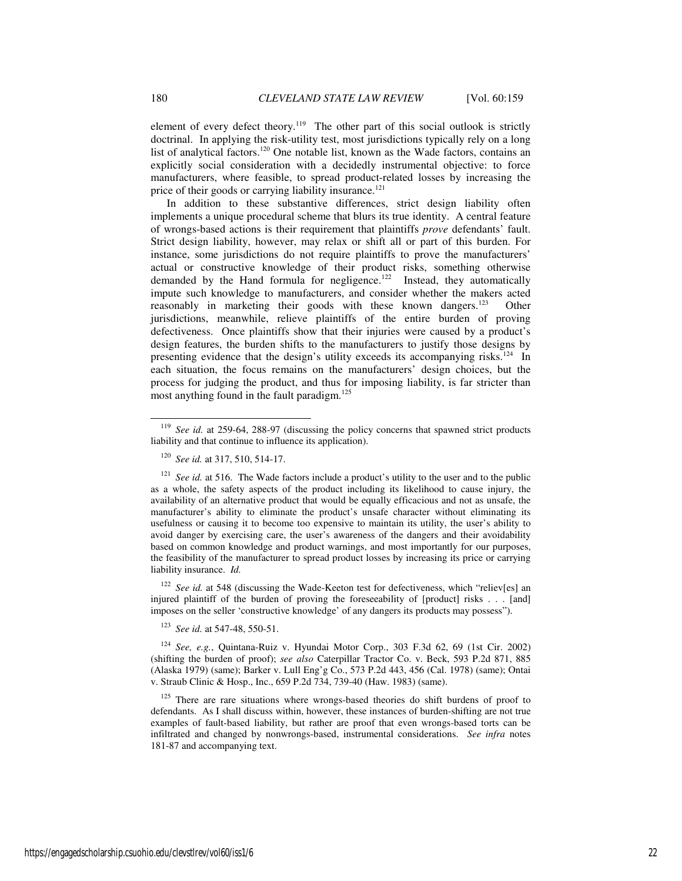element of every defect theory.<sup>119</sup> The other part of this social outlook is strictly doctrinal. In applying the risk-utility test, most jurisdictions typically rely on a long list of analytical factors.<sup>120</sup> One notable list, known as the Wade factors, contains an explicitly social consideration with a decidedly instrumental objective: to force manufacturers, where feasible, to spread product-related losses by increasing the price of their goods or carrying liability insurance.<sup>121</sup>

In addition to these substantive differences, strict design liability often implements a unique procedural scheme that blurs its true identity. A central feature of wrongs-based actions is their requirement that plaintiffs *prove* defendants' fault. Strict design liability, however, may relax or shift all or part of this burden. For instance, some jurisdictions do not require plaintiffs to prove the manufacturers' actual or constructive knowledge of their product risks, something otherwise demanded by the Hand formula for negligence.<sup>122</sup> Instead, they automatically impute such knowledge to manufacturers, and consider whether the makers acted reasonably in marketing their goods with these known dangers.<sup>123</sup> Other jurisdictions, meanwhile, relieve plaintiffs of the entire burden of proving defectiveness. Once plaintiffs show that their injuries were caused by a product's design features, the burden shifts to the manufacturers to justify those designs by presenting evidence that the design's utility exceeds its accompanying risks.<sup>124</sup> In each situation, the focus remains on the manufacturers' design choices, but the process for judging the product, and thus for imposing liability, is far stricter than most anything found in the fault paradigm.<sup>125</sup>

<sup>122</sup> *See id.* at 548 (discussing the Wade-Keeton test for defectiveness, which "reliev[es] an injured plaintiff of the burden of proving the foreseeability of [product] risks . . . [and] imposes on the seller 'constructive knowledge' of any dangers its products may possess").

<sup>123</sup> *See id.* at 547-48, 550-51.

<sup>124</sup> *See, e.g.*, Quintana-Ruiz v. Hyundai Motor Corp., 303 F.3d 62, 69 (1st Cir. 2002) (shifting the burden of proof); *see also* Caterpillar Tractor Co. v. Beck, 593 P.2d 871, 885 (Alaska 1979) (same); Barker v. Lull Eng'g Co., 573 P.2d 443, 456 (Cal. 1978) (same); Ontai v. Straub Clinic & Hosp., Inc., 659 P.2d 734, 739-40 (Haw. 1983) (same).

 $125$  There are rare situations where wrongs-based theories do shift burdens of proof to defendants. As I shall discuss within, however, these instances of burden-shifting are not true examples of fault-based liability, but rather are proof that even wrongs-based torts can be infiltrated and changed by nonwrongs-based, instrumental considerations. *See infra* notes 181-87 and accompanying text.

See id. at 259-64, 288-97 (discussing the policy concerns that spawned strict products liability and that continue to influence its application).

<sup>120</sup> *See id.* at 317, 510, 514-17.

<sup>&</sup>lt;sup>121</sup> *See id.* at 516. The Wade factors include a product's utility to the user and to the public as a whole, the safety aspects of the product including its likelihood to cause injury, the availability of an alternative product that would be equally efficacious and not as unsafe, the manufacturer's ability to eliminate the product's unsafe character without eliminating its usefulness or causing it to become too expensive to maintain its utility, the user's ability to avoid danger by exercising care, the user's awareness of the dangers and their avoidability based on common knowledge and product warnings, and most importantly for our purposes, the feasibility of the manufacturer to spread product losses by increasing its price or carrying liability insurance. *Id.*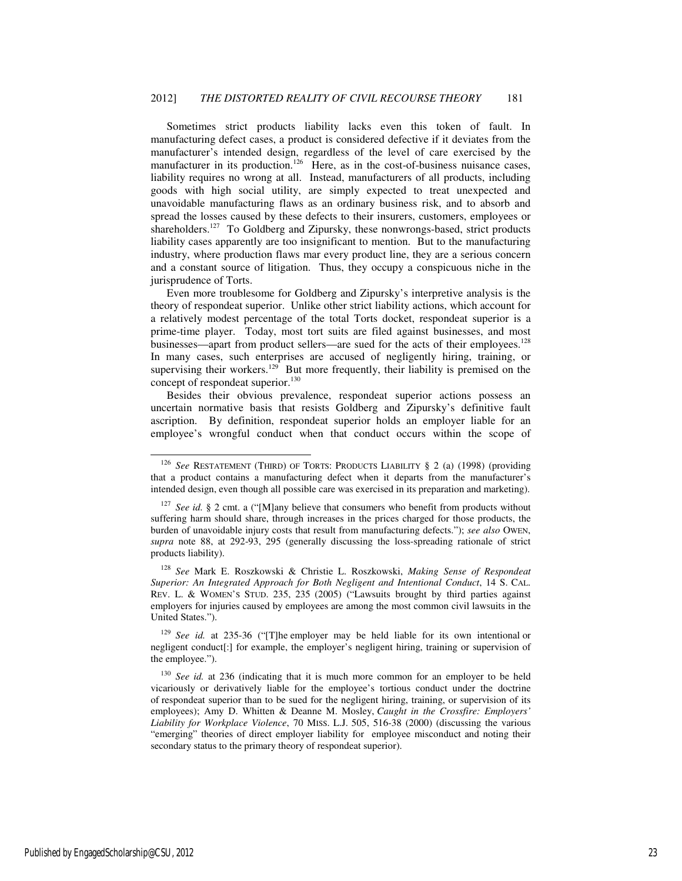Sometimes strict products liability lacks even this token of fault. In manufacturing defect cases, a product is considered defective if it deviates from the manufacturer's intended design, regardless of the level of care exercised by the manufacturer in its production.<sup>126</sup> Here, as in the cost-of-business nuisance cases, liability requires no wrong at all. Instead, manufacturers of all products, including goods with high social utility, are simply expected to treat unexpected and unavoidable manufacturing flaws as an ordinary business risk, and to absorb and spread the losses caused by these defects to their insurers, customers, employees or shareholders.<sup>127</sup> To Goldberg and Zipursky, these nonwrongs-based, strict products liability cases apparently are too insignificant to mention. But to the manufacturing industry, where production flaws mar every product line, they are a serious concern and a constant source of litigation. Thus, they occupy a conspicuous niche in the jurisprudence of Torts.

Even more troublesome for Goldberg and Zipursky's interpretive analysis is the theory of respondeat superior. Unlike other strict liability actions, which account for a relatively modest percentage of the total Torts docket, respondeat superior is a prime-time player. Today, most tort suits are filed against businesses, and most businesses—apart from product sellers—are sued for the acts of their employees.<sup>128</sup> In many cases, such enterprises are accused of negligently hiring, training, or supervising their workers.<sup>129</sup> But more frequently, their liability is premised on the concept of respondeat superior.<sup>130</sup>

Besides their obvious prevalence, respondeat superior actions possess an uncertain normative basis that resists Goldberg and Zipursky's definitive fault ascription. By definition, respondeat superior holds an employer liable for an employee's wrongful conduct when that conduct occurs within the scope of

<sup>128</sup> *See* Mark E. Roszkowski & Christie L. Roszkowski, *Making Sense of Respondeat Superior: An Integrated Approach for Both Negligent and Intentional Conduct*, 14 S. CAL. REV. L. & WOMEN'S STUD. 235, 235 (2005) ("Lawsuits brought by third parties against employers for injuries caused by employees are among the most common civil lawsuits in the United States.").

<sup>129</sup> *See id.* at 235-36 ("[T]he employer may be held liable for its own intentional or negligent conduct[:] for example, the employer's negligent hiring, training or supervision of the employee.").

<sup>126</sup> *See* RESTATEMENT (THIRD) OF TORTS: PRODUCTS LIABILITY § 2 (a) (1998) (providing that a product contains a manufacturing defect when it departs from the manufacturer's intended design, even though all possible care was exercised in its preparation and marketing).

<sup>&</sup>lt;sup>127</sup> *See id.* § 2 cmt. a ("[M]any believe that consumers who benefit from products without suffering harm should share, through increases in the prices charged for those products, the burden of unavoidable injury costs that result from manufacturing defects."); *see also* OWEN, *supra* note 88, at 292-93, 295 (generally discussing the loss-spreading rationale of strict products liability).

<sup>&</sup>lt;sup>130</sup> *See id.* at 236 (indicating that it is much more common for an employer to be held vicariously or derivatively liable for the employee's tortious conduct under the doctrine of respondeat superior than to be sued for the negligent hiring, training, or supervision of its employees); Amy D. Whitten & Deanne M. Mosley, *Caught in the Crossfire: Employers' Liability for Workplace Violence*, 70 MISS. L.J. 505, 516-38 (2000) (discussing the various "emerging" theories of direct employer liability for employee misconduct and noting their secondary status to the primary theory of respondeat superior).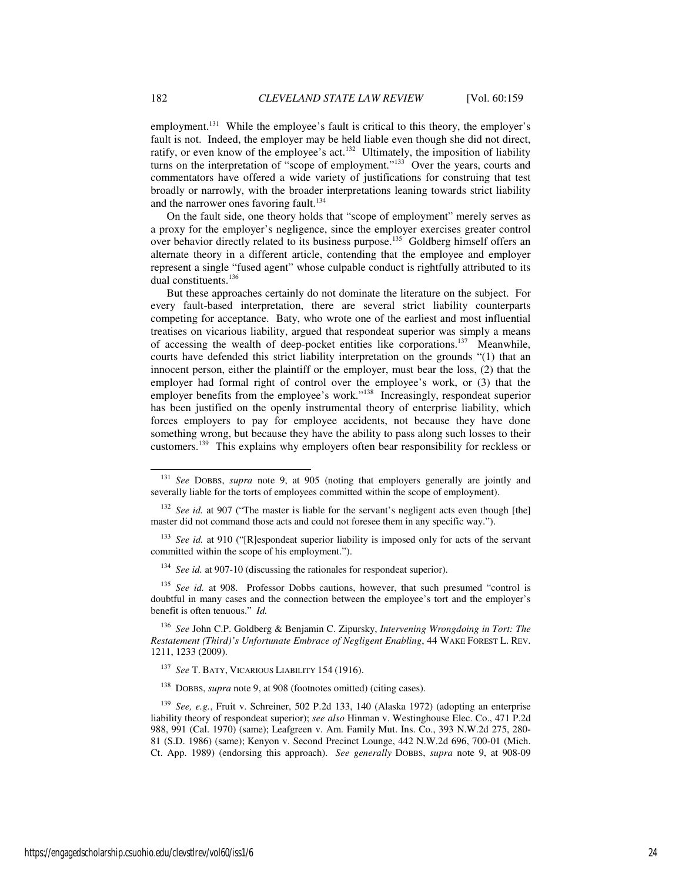employment.<sup>131</sup> While the employee's fault is critical to this theory, the employer's fault is not. Indeed, the employer may be held liable even though she did not direct, ratify, or even know of the employee's act.<sup>132</sup> Ultimately, the imposition of liability turns on the interpretation of "scope of employment."<sup>133</sup> Over the years, courts and commentators have offered a wide variety of justifications for construing that test broadly or narrowly, with the broader interpretations leaning towards strict liability and the narrower ones favoring fault.<sup>134</sup>

On the fault side, one theory holds that "scope of employment" merely serves as a proxy for the employer's negligence, since the employer exercises greater control over behavior directly related to its business purpose.<sup>135</sup> Goldberg himself offers an alternate theory in a different article, contending that the employee and employer represent a single "fused agent" whose culpable conduct is rightfully attributed to its dual constituents.<sup>136</sup>

But these approaches certainly do not dominate the literature on the subject. For every fault-based interpretation, there are several strict liability counterparts competing for acceptance. Baty, who wrote one of the earliest and most influential treatises on vicarious liability, argued that respondeat superior was simply a means of accessing the wealth of deep-pocket entities like corporations.<sup>137</sup> Meanwhile, courts have defended this strict liability interpretation on the grounds "(1) that an innocent person, either the plaintiff or the employer, must bear the loss, (2) that the employer had formal right of control over the employee's work, or (3) that the employer benefits from the employee's work."<sup>138</sup> Increasingly, respondeat superior has been justified on the openly instrumental theory of enterprise liability, which forces employers to pay for employee accidents, not because they have done something wrong, but because they have the ability to pass along such losses to their customers.<sup>139</sup> This explains why employers often bear responsibility for reckless or

<sup>131</sup> *See* DOBBS, *supra* note 9, at 905 (noting that employers generally are jointly and severally liable for the torts of employees committed within the scope of employment).

<sup>&</sup>lt;sup>132</sup> *See id.* at 907 ("The master is liable for the servant's negligent acts even though [the] master did not command those acts and could not foresee them in any specific way.").

<sup>&</sup>lt;sup>133</sup> *See id.* at 910 ("[R]espondeat superior liability is imposed only for acts of the servant committed within the scope of his employment.").

<sup>&</sup>lt;sup>134</sup> *See id.* at 907-10 (discussing the rationales for respondeat superior).

<sup>135</sup> *See id.* at 908. Professor Dobbs cautions, however, that such presumed "control is doubtful in many cases and the connection between the employee's tort and the employer's benefit is often tenuous." *Id.*

<sup>136</sup> *See* John C.P. Goldberg & Benjamin C. Zipursky, *Intervening Wrongdoing in Tort: The Restatement (Third)'s Unfortunate Embrace of Negligent Enabling*, 44 WAKE FOREST L. REV. 1211, 1233 (2009).

<sup>137</sup> *See* T. BATY, VICARIOUS LIABILITY 154 (1916).

<sup>138</sup> DOBBS, *supra* note 9, at 908 (footnotes omitted) (citing cases).

<sup>139</sup> *See, e.g.*, Fruit v. Schreiner, 502 P.2d 133, 140 (Alaska 1972) (adopting an enterprise liability theory of respondeat superior); *see also* Hinman v. Westinghouse Elec. Co., 471 P.2d 988, 991 (Cal. 1970) (same); Leafgreen v. Am. Family Mut. Ins. Co., 393 N.W.2d 275, 280- 81 (S.D. 1986) (same); Kenyon v. Second Precinct Lounge, 442 N.W.2d 696, 700-01 (Mich. Ct. App. 1989) (endorsing this approach). *See generally* DOBBS, *supra* note 9, at 908-09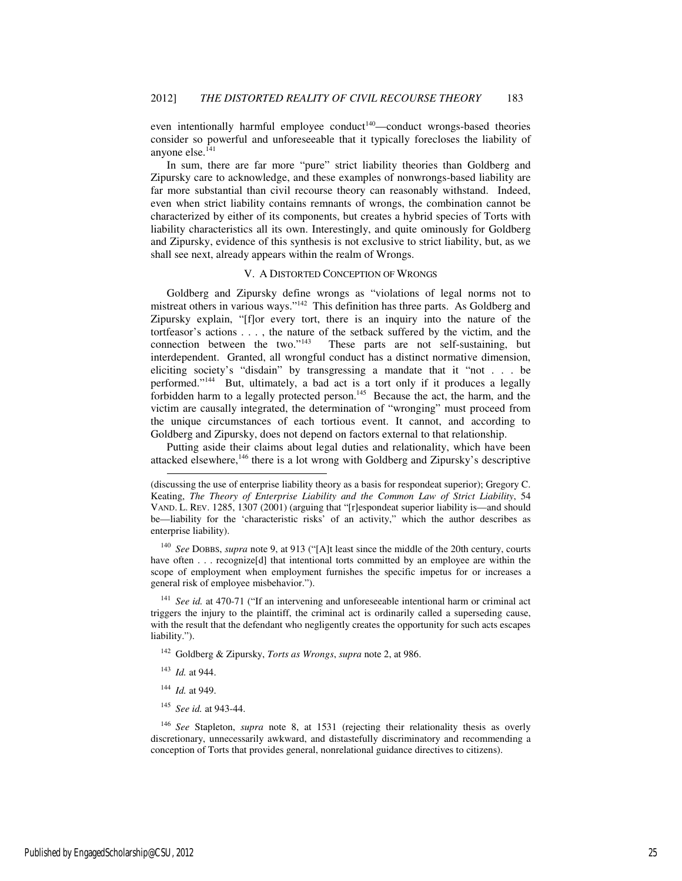even intentionally harmful employee conduct<sup> $140$ </sup>—conduct wrongs-based theories consider so powerful and unforeseeable that it typically forecloses the liability of anyone else.<sup>141</sup>

In sum, there are far more "pure" strict liability theories than Goldberg and Zipursky care to acknowledge, and these examples of nonwrongs-based liability are far more substantial than civil recourse theory can reasonably withstand. Indeed, even when strict liability contains remnants of wrongs, the combination cannot be characterized by either of its components, but creates a hybrid species of Torts with liability characteristics all its own. Interestingly, and quite ominously for Goldberg and Zipursky, evidence of this synthesis is not exclusive to strict liability, but, as we shall see next, already appears within the realm of Wrongs.

#### V. A DISTORTED CONCEPTION OF WRONGS

Goldberg and Zipursky define wrongs as "violations of legal norms not to mistreat others in various ways."<sup>142</sup> This definition has three parts. As Goldberg and Zipursky explain, "[f]or every tort, there is an inquiry into the nature of the tortfeasor's actions  $\dots$ , the nature of the setback suffered by the victim, and the connection between the two."<sup>143</sup> These parts are not self-sustaining, but These parts are not self-sustaining, but interdependent. Granted, all wrongful conduct has a distinct normative dimension, eliciting society's "disdain" by transgressing a mandate that it "not . . . be performed."<sup>144</sup> But, ultimately, a bad act is a tort only if it produces a legally forbidden harm to a legally protected person.<sup>145</sup> Because the act, the harm, and the victim are causally integrated, the determination of "wronging" must proceed from the unique circumstances of each tortious event. It cannot, and according to Goldberg and Zipursky, does not depend on factors external to that relationship.

Putting aside their claims about legal duties and relationality, which have been attacked elsewhere,<sup>146</sup> there is a lot wrong with Goldberg and Zipursky's descriptive

<sup>140</sup> *See* DOBBS, *supra* note 9, at 913 ("[A]t least since the middle of the 20th century, courts have often . . . recognize[d] that intentional torts committed by an employee are within the scope of employment when employment furnishes the specific impetus for or increases a general risk of employee misbehavior.").

<sup>141</sup> *See id.* at 470-71 ("If an intervening and unforeseeable intentional harm or criminal act triggers the injury to the plaintiff, the criminal act is ordinarily called a superseding cause, with the result that the defendant who negligently creates the opportunity for such acts escapes liability.").

<sup>142</sup> Goldberg & Zipursky, *Torts as Wrongs*, *supra* note 2, at 986.

<sup>143</sup> *Id.* at 944.

j

- <sup>144</sup> *Id.* at 949.
- <sup>145</sup> *See id.* at 943-44.

<sup>146</sup> *See* Stapleton, *supra* note 8, at 1531 (rejecting their relationality thesis as overly discretionary, unnecessarily awkward, and distastefully discriminatory and recommending a conception of Torts that provides general, nonrelational guidance directives to citizens).

<sup>(</sup>discussing the use of enterprise liability theory as a basis for respondeat superior); Gregory C. Keating, *The Theory of Enterprise Liability and the Common Law of Strict Liability*, 54 VAND. L. REV. 1285, 1307 (2001) (arguing that "[r]espondeat superior liability is—and should be—liability for the 'characteristic risks' of an activity," which the author describes as enterprise liability).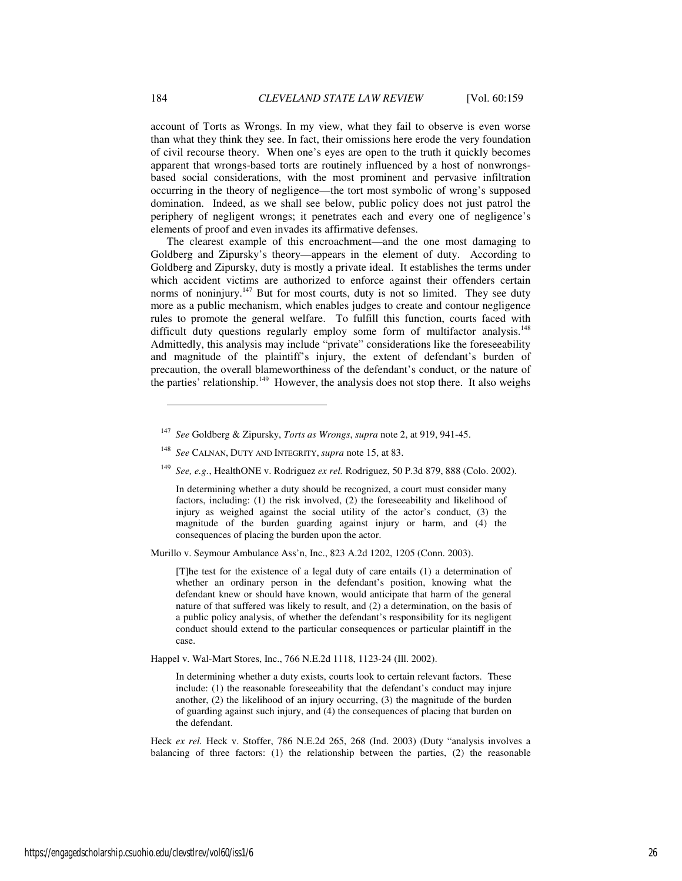account of Torts as Wrongs. In my view, what they fail to observe is even worse than what they think they see. In fact, their omissions here erode the very foundation of civil recourse theory. When one's eyes are open to the truth it quickly becomes apparent that wrongs-based torts are routinely influenced by a host of nonwrongsbased social considerations, with the most prominent and pervasive infiltration occurring in the theory of negligence—the tort most symbolic of wrong's supposed domination. Indeed, as we shall see below, public policy does not just patrol the periphery of negligent wrongs; it penetrates each and every one of negligence's elements of proof and even invades its affirmative defenses.

The clearest example of this encroachment—and the one most damaging to Goldberg and Zipursky's theory—appears in the element of duty. According to Goldberg and Zipursky, duty is mostly a private ideal. It establishes the terms under which accident victims are authorized to enforce against their offenders certain norms of noninjury.<sup>147</sup> But for most courts, duty is not so limited. They see duty more as a public mechanism, which enables judges to create and contour negligence rules to promote the general welfare. To fulfill this function, courts faced with difficult duty questions regularly employ some form of multifactor analysis.<sup>148</sup> Admittedly, this analysis may include "private" considerations like the foreseeability and magnitude of the plaintiff's injury, the extent of defendant's burden of precaution, the overall blameworthiness of the defendant's conduct, or the nature of the parties' relationship.<sup>149</sup> However, the analysis does not stop there. It also weighs

<sup>149</sup> *See, e.g.*, HealthONE v. Rodriguez *ex rel.* Rodriguez, 50 P.3d 879, 888 (Colo. 2002).

In determining whether a duty should be recognized, a court must consider many factors, including: (1) the risk involved, (2) the foreseeability and likelihood of injury as weighed against the social utility of the actor's conduct, (3) the magnitude of the burden guarding against injury or harm, and (4) the consequences of placing the burden upon the actor.

Murillo v. Seymour Ambulance Ass'n, Inc., 823 A.2d 1202, 1205 (Conn. 2003).

[T]he test for the existence of a legal duty of care entails (1) a determination of whether an ordinary person in the defendant's position, knowing what the defendant knew or should have known, would anticipate that harm of the general nature of that suffered was likely to result, and (2) a determination, on the basis of a public policy analysis, of whether the defendant's responsibility for its negligent conduct should extend to the particular consequences or particular plaintiff in the case.

Happel v. Wal-Mart Stores, Inc., 766 N.E.2d 1118, 1123-24 (Ill. 2002).

In determining whether a duty exists, courts look to certain relevant factors. These include: (1) the reasonable foreseeability that the defendant's conduct may injure another, (2) the likelihood of an injury occurring, (3) the magnitude of the burden of guarding against such injury, and (4) the consequences of placing that burden on the defendant.

Heck *ex rel.* Heck v. Stoffer, 786 N.E.2d 265, 268 (Ind. 2003) (Duty "analysis involves a balancing of three factors: (1) the relationship between the parties, (2) the reasonable

<sup>147</sup> *See* Goldberg & Zipursky, *Torts as Wrongs*, *supra* note 2, at 919, 941-45.

<sup>148</sup> *See* CALNAN, DUTY AND INTEGRITY, *supra* note 15, at 83.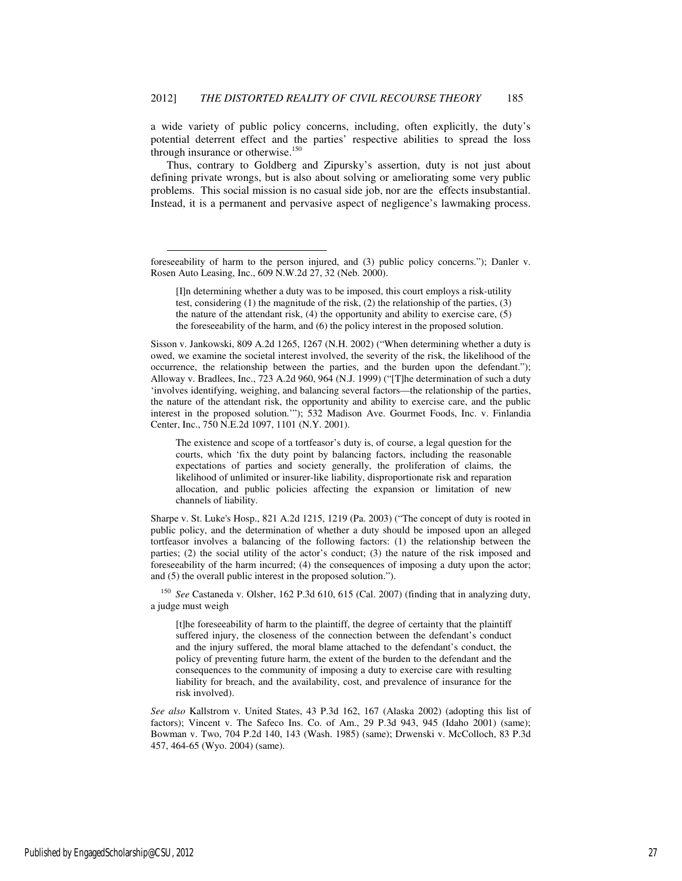a wide variety of public policy concerns, including, often explicitly, the duty's potential deterrent effect and the parties' respective abilities to spread the loss through insurance or otherwise.<sup>150</sup>

Thus, contrary to Goldberg and Zipursky's assertion, duty is not just about defining private wrongs, but is also about solving or ameliorating some very public problems. This social mission is no casual side job, nor are the effects insubstantial. Instead, it is a permanent and pervasive aspect of negligence's lawmaking process.

-

Sisson v. Jankowski, 809 A.2d 1265, 1267 (N.H. 2002) ("When determining whether a duty is owed, we examine the societal interest involved, the severity of the risk, the likelihood of the occurrence, the relationship between the parties, and the burden upon the defendant."); Alloway v. Bradlees, Inc., 723 A.2d 960, 964 (N.J. 1999) ("[T]he determination of such a duty 'involves identifying, weighing, and balancing several factors—the relationship of the parties, the nature of the attendant risk, the opportunity and ability to exercise care, and the public interest in the proposed solution.'"); 532 Madison Ave. Gourmet Foods, Inc. v. Finlandia Center, Inc., 750 N.E.2d 1097, 1101 (N.Y. 2001).

The existence and scope of a tortfeasor's duty is, of course, a legal question for the courts, which 'fix the duty point by balancing factors, including the reasonable expectations of parties and society generally, the proliferation of claims, the likelihood of unlimited or insurer-like liability, disproportionate risk and reparation allocation, and public policies affecting the expansion or limitation of new channels of liability.

Sharpe v. St. Luke's Hosp., 821 A.2d 1215, 1219 (Pa. 2003) ("The concept of duty is rooted in public policy, and the determination of whether a duty should be imposed upon an alleged tortfeasor involves a balancing of the following factors: (1) the relationship between the parties; (2) the social utility of the actor's conduct; (3) the nature of the risk imposed and foreseeability of the harm incurred; (4) the consequences of imposing a duty upon the actor; and (5) the overall public interest in the proposed solution.").

<sup>150</sup> *See* Castaneda v. Olsher, 162 P.3d 610, 615 (Cal. 2007) (finding that in analyzing duty, a judge must weigh

[t]he foreseeability of harm to the plaintiff, the degree of certainty that the plaintiff suffered injury, the closeness of the connection between the defendant's conduct and the injury suffered, the moral blame attached to the defendant's conduct, the policy of preventing future harm, the extent of the burden to the defendant and the consequences to the community of imposing a duty to exercise care with resulting liability for breach, and the availability, cost, and prevalence of insurance for the risk involved).

*See also* Kallstrom v. United States, 43 P.3d 162, 167 (Alaska 2002) (adopting this list of factors); Vincent v. The Safeco Ins. Co. of Am., 29 P.3d 943, 945 (Idaho 2001) (same); Bowman v. Two, 704 P.2d 140, 143 (Wash. 1985) (same); Drwenski v. McColloch, 83 P.3d 457, 464-65 (Wyo. 2004) (same).

foreseeability of harm to the person injured, and (3) public policy concerns."); Danler v. Rosen Auto Leasing, Inc., 609 N.W.2d 27, 32 (Neb. 2000).

<sup>[</sup>I]n determining whether a duty was to be imposed, this court employs a risk-utility test, considering (1) the magnitude of the risk, (2) the relationship of the parties, (3) the nature of the attendant risk, (4) the opportunity and ability to exercise care, (5) the foreseeability of the harm, and (6) the policy interest in the proposed solution.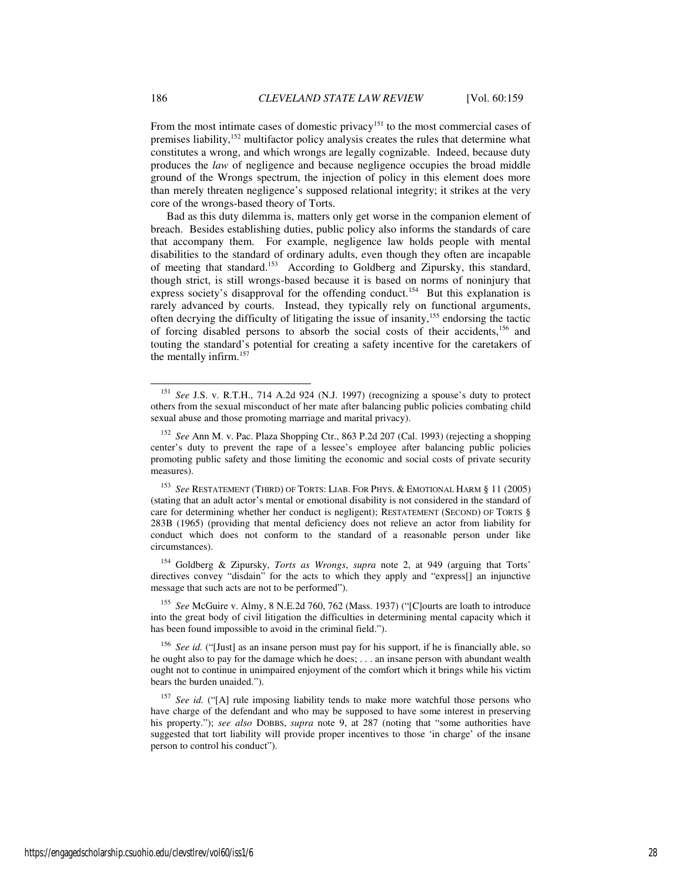From the most intimate cases of domestic privacy<sup>151</sup> to the most commercial cases of premises liability,<sup>152</sup> multifactor policy analysis creates the rules that determine what constitutes a wrong, and which wrongs are legally cognizable. Indeed, because duty produces the *law* of negligence and because negligence occupies the broad middle ground of the Wrongs spectrum, the injection of policy in this element does more than merely threaten negligence's supposed relational integrity; it strikes at the very core of the wrongs-based theory of Torts.

Bad as this duty dilemma is, matters only get worse in the companion element of breach. Besides establishing duties, public policy also informs the standards of care that accompany them. For example, negligence law holds people with mental disabilities to the standard of ordinary adults, even though they often are incapable of meeting that standard.<sup>153</sup> According to Goldberg and Zipursky, this standard, though strict, is still wrongs-based because it is based on norms of noninjury that express society's disapproval for the offending conduct.<sup>154</sup> But this explanation is rarely advanced by courts. Instead, they typically rely on functional arguments, often decrying the difficulty of litigating the issue of insanity,<sup>155</sup> endorsing the tactic of forcing disabled persons to absorb the social costs of their accidents,<sup>156</sup> and touting the standard's potential for creating a safety incentive for the caretakers of the mentally infirm.<sup>157</sup>

<sup>154</sup> Goldberg & Zipursky, *Torts as Wrongs*, *supra* note 2, at 949 (arguing that Torts' directives convey "disdain" for the acts to which they apply and "express[] an injunctive message that such acts are not to be performed").

<sup>155</sup> *See* McGuire v. Almy, 8 N.E.2d 760, 762 (Mass. 1937) ("[C]ourts are loath to introduce into the great body of civil litigation the difficulties in determining mental capacity which it has been found impossible to avoid in the criminal field.").

<sup>156</sup> *See id.* ("[Just] as an insane person must pay for his support, if he is financially able, so he ought also to pay for the damage which he does; . . . an insane person with abundant wealth ought not to continue in unimpaired enjoyment of the comfort which it brings while his victim bears the burden unaided.").

<sup>151</sup> *See* J.S. v. R.T.H., 714 A.2d 924 (N.J. 1997) (recognizing a spouse's duty to protect others from the sexual misconduct of her mate after balancing public policies combating child sexual abuse and those promoting marriage and marital privacy).

<sup>152</sup> *See* Ann M. v. Pac. Plaza Shopping Ctr., 863 P.2d 207 (Cal. 1993) (rejecting a shopping center's duty to prevent the rape of a lessee's employee after balancing public policies promoting public safety and those limiting the economic and social costs of private security measures).

<sup>153</sup> *See* RESTATEMENT (THIRD) OF TORTS: LIAB. FOR PHYS. & EMOTIONAL HARM § 11 (2005) (stating that an adult actor's mental or emotional disability is not considered in the standard of care for determining whether her conduct is negligent); RESTATEMENT (SECOND) OF TORTS § 283B (1965) (providing that mental deficiency does not relieve an actor from liability for conduct which does not conform to the standard of a reasonable person under like circumstances).

<sup>&</sup>lt;sup>157</sup> See id. ("[A] rule imposing liability tends to make more watchful those persons who have charge of the defendant and who may be supposed to have some interest in preserving his property."); *see also* DOBBS, *supra* note 9, at 287 (noting that "some authorities have suggested that tort liability will provide proper incentives to those 'in charge' of the insane person to control his conduct").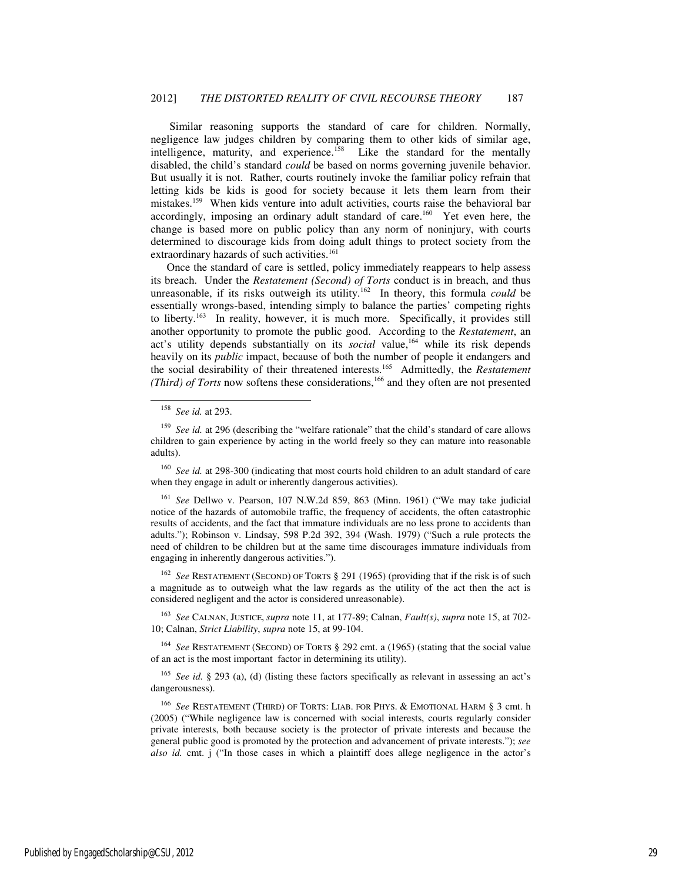Similar reasoning supports the standard of care for children. Normally, negligence law judges children by comparing them to other kids of similar age, intelligence, maturity, and experience.<sup>158</sup> Like the standard for the mentally disabled, the child's standard *could* be based on norms governing juvenile behavior. But usually it is not. Rather, courts routinely invoke the familiar policy refrain that letting kids be kids is good for society because it lets them learn from their mistakes.<sup>159</sup> When kids venture into adult activities, courts raise the behavioral bar accordingly, imposing an ordinary adult standard of care.<sup>160</sup> Yet even here, the change is based more on public policy than any norm of noninjury, with courts determined to discourage kids from doing adult things to protect society from the extraordinary hazards of such activities.<sup>161</sup>

Once the standard of care is settled, policy immediately reappears to help assess its breach. Under the *Restatement (Second) of Torts* conduct is in breach, and thus unreasonable, if its risks outweigh its utility.<sup>162</sup> In theory, this formula *could* be essentially wrongs-based, intending simply to balance the parties' competing rights to liberty.<sup>163</sup> In reality, however, it is much more. Specifically, it provides still another opportunity to promote the public good. According to the *Restatement*, an act's utility depends substantially on its *social* value,<sup>164</sup> while its risk depends heavily on its *public* impact, because of both the number of people it endangers and the social desirability of their threatened interests.<sup>165</sup> Admittedly, the *Restatement* is *(Third) of Torts* now softens these considerations,<sup>166</sup> and they often are not presented

-

<sup>160</sup> *See id.* at 298-300 (indicating that most courts hold children to an adult standard of care when they engage in adult or inherently dangerous activities).

<sup>161</sup> *See* Dellwo v. Pearson, 107 N.W.2d 859, 863 (Minn. 1961) ("We may take judicial notice of the hazards of automobile traffic, the frequency of accidents, the often catastrophic results of accidents, and the fact that immature individuals are no less prone to accidents than adults."); Robinson v. Lindsay, 598 P.2d 392, 394 (Wash. 1979) ("Such a rule protects the need of children to be children but at the same time discourages immature individuals from engaging in inherently dangerous activities.").

<sup>162</sup> *See* RESTATEMENT (SECOND) OF TORTS § 291 (1965) (providing that if the risk is of such a magnitude as to outweigh what the law regards as the utility of the act then the act is considered negligent and the actor is considered unreasonable).

<sup>163</sup> *See* CALNAN, JUSTICE, *supra* note 11, at 177-89; Calnan, *Fault(s)*, *supra* note 15, at 702- 10; Calnan, *Strict Liability*, *supra* note 15, at 99-104.

<sup>164</sup> *See* RESTATEMENT (SECOND) OF TORTS § 292 cmt. a (1965) (stating that the social value of an act is the most important factor in determining its utility).

<sup>165</sup> *See id.* § 293 (a), (d) (listing these factors specifically as relevant in assessing an act's dangerousness).

<sup>166</sup> *See* RESTATEMENT (THIRD) OF TORTS: LIAB. FOR PHYS. & EMOTIONAL HARM § 3 cmt. h (2005) ("While negligence law is concerned with social interests, courts regularly consider private interests, both because society is the protector of private interests and because the general public good is promoted by the protection and advancement of private interests."); *see also id.* cmt. j ("In those cases in which a plaintiff does allege negligence in the actor's

<sup>158</sup> *See id.* at 293.

<sup>159</sup> *See id.* at 296 (describing the "welfare rationale" that the child's standard of care allows children to gain experience by acting in the world freely so they can mature into reasonable adults).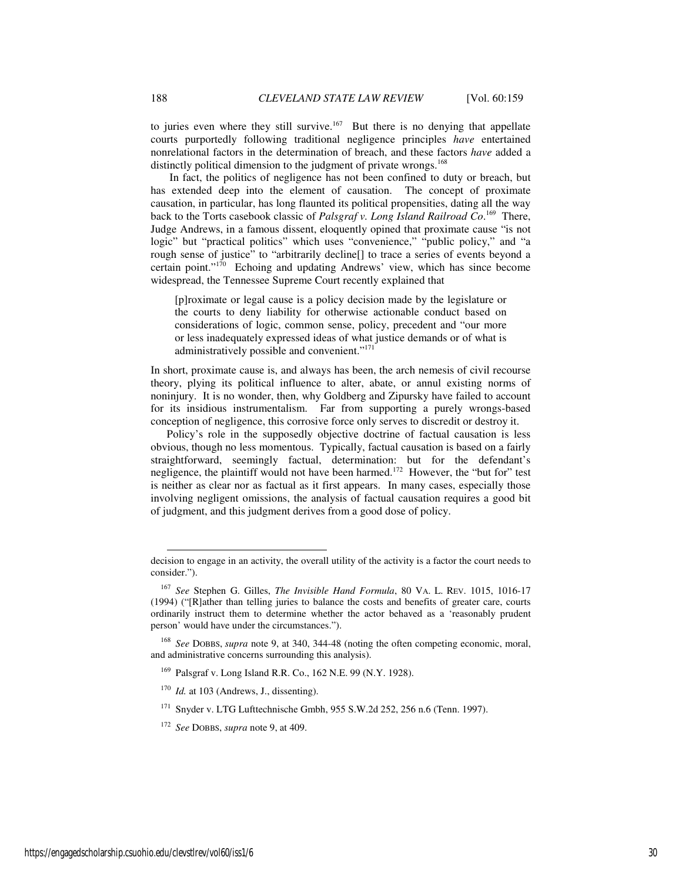to juries even where they still survive.<sup>167</sup> But there is no denying that appellate courts purportedly following traditional negligence principles *have* entertained nonrelational factors in the determination of breach, and these factors *have* added a distinctly political dimension to the judgment of private wrongs.<sup>168</sup>

 In fact, the politics of negligence has not been confined to duty or breach, but has extended deep into the element of causation. The concept of proximate causation, in particular, has long flaunted its political propensities, dating all the way back to the Torts casebook classic of *Palsgraf v. Long Island Railroad Co*. <sup>169</sup> There, Judge Andrews, in a famous dissent, eloquently opined that proximate cause "is not logic" but "practical politics" which uses "convenience," "public policy," and "a rough sense of justice" to "arbitrarily decline[] to trace a series of events beyond a certain point."<sup>170</sup> Echoing and updating Andrews' view, which has since become widespread, the Tennessee Supreme Court recently explained that

[p]roximate or legal cause is a policy decision made by the legislature or the courts to deny liability for otherwise actionable conduct based on considerations of logic, common sense, policy, precedent and "our more or less inadequately expressed ideas of what justice demands or of what is administratively possible and convenient."<sup>171</sup>

In short, proximate cause is, and always has been, the arch nemesis of civil recourse theory, plying its political influence to alter, abate, or annul existing norms of noninjury. It is no wonder, then, why Goldberg and Zipursky have failed to account for its insidious instrumentalism. Far from supporting a purely wrongs-based conception of negligence, this corrosive force only serves to discredit or destroy it.

Policy's role in the supposedly objective doctrine of factual causation is less obvious, though no less momentous. Typically, factual causation is based on a fairly straightforward, seemingly factual, determination: but for the defendant's negligence, the plaintiff would not have been harmed.<sup>172</sup> However, the "but for" test is neither as clear nor as factual as it first appears. In many cases, especially those involving negligent omissions, the analysis of factual causation requires a good bit of judgment, and this judgment derives from a good dose of policy.

- <sup>171</sup> Snyder v. LTG Lufttechnische Gmbh, 955 S.W.2d 252, 256 n.6 (Tenn. 1997).
- <sup>172</sup> *See* DOBBS, *supra* note 9, at 409.

decision to engage in an activity, the overall utility of the activity is a factor the court needs to consider.").

<sup>167</sup> *See* Stephen G. Gilles, *The Invisible Hand Formula*, 80 VA. L. REV. 1015, 1016-17 (1994) ("[R]ather than telling juries to balance the costs and benefits of greater care, courts ordinarily instruct them to determine whether the actor behaved as a 'reasonably prudent person' would have under the circumstances.").

<sup>168</sup> *See* DOBBS, *supra* note 9, at 340, 344-48 (noting the often competing economic, moral, and administrative concerns surrounding this analysis).

<sup>169</sup> Palsgraf v. Long Island R.R. Co., 162 N.E. 99 (N.Y. 1928).

<sup>&</sup>lt;sup>170</sup> *Id.* at 103 (Andrews, J., dissenting).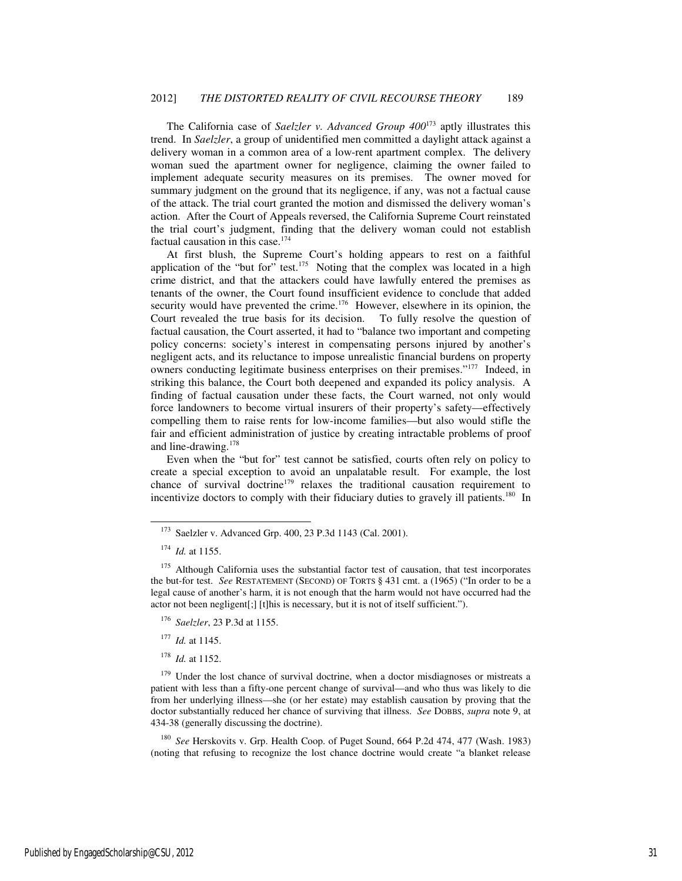The California case of *Saelzler v. Advanced Group 400*<sup>173</sup> aptly illustrates this trend. In *Saelzler*, a group of unidentified men committed a daylight attack against a delivery woman in a common area of a low-rent apartment complex. The delivery woman sued the apartment owner for negligence, claiming the owner failed to implement adequate security measures on its premises. The owner moved for summary judgment on the ground that its negligence, if any, was not a factual cause of the attack. The trial court granted the motion and dismissed the delivery woman's action. After the Court of Appeals reversed, the California Supreme Court reinstated the trial court's judgment, finding that the delivery woman could not establish factual causation in this case.<sup>174</sup>

At first blush, the Supreme Court's holding appears to rest on a faithful application of the "but for" test.<sup>175</sup> Noting that the complex was located in a high crime district, and that the attackers could have lawfully entered the premises as tenants of the owner, the Court found insufficient evidence to conclude that added security would have prevented the crime.<sup>176</sup> However, elsewhere in its opinion, the Court revealed the true basis for its decision. To fully resolve the question of Court revealed the true basis for its decision. factual causation, the Court asserted, it had to "balance two important and competing policy concerns: society's interest in compensating persons injured by another's negligent acts, and its reluctance to impose unrealistic financial burdens on property owners conducting legitimate business enterprises on their premises."<sup>177</sup> Indeed, in striking this balance, the Court both deepened and expanded its policy analysis. A finding of factual causation under these facts, the Court warned, not only would force landowners to become virtual insurers of their property's safety—effectively compelling them to raise rents for low-income families—but also would stifle the fair and efficient administration of justice by creating intractable problems of proof and line-drawing.<sup>178</sup>

Even when the "but for" test cannot be satisfied, courts often rely on policy to create a special exception to avoid an unpalatable result. For example, the lost chance of survival doctrine<sup>179</sup> relaxes the traditional causation requirement to incentivize doctors to comply with their fiduciary duties to gravely ill patients.<sup>180</sup> In

l

- <sup>176</sup> *Saelzler*, 23 P.3d at 1155.
- <sup>177</sup> *Id.* at 1145.
- <sup>178</sup> *Id.* at 1152.

<sup>179</sup> Under the lost chance of survival doctrine, when a doctor misdiagnoses or mistreats a patient with less than a fifty-one percent change of survival—and who thus was likely to die from her underlying illness—she (or her estate) may establish causation by proving that the doctor substantially reduced her chance of surviving that illness. *See* DOBBS, *supra* note 9, at 434-38 (generally discussing the doctrine).

<sup>180</sup> *See* Herskovits v. Grp. Health Coop. of Puget Sound, 664 P.2d 474, 477 (Wash. 1983) (noting that refusing to recognize the lost chance doctrine would create "a blanket release

<sup>173</sup> Saelzler v. Advanced Grp. 400, 23 P.3d 1143 (Cal. 2001).

<sup>174</sup> *Id.* at 1155.

<sup>&</sup>lt;sup>175</sup> Although California uses the substantial factor test of causation, that test incorporates the but-for test. *See* RESTATEMENT (SECOND) OF TORTS § 431 cmt. a (1965) ("In order to be a legal cause of another's harm, it is not enough that the harm would not have occurred had the actor not been negligent[;] [t]his is necessary, but it is not of itself sufficient.").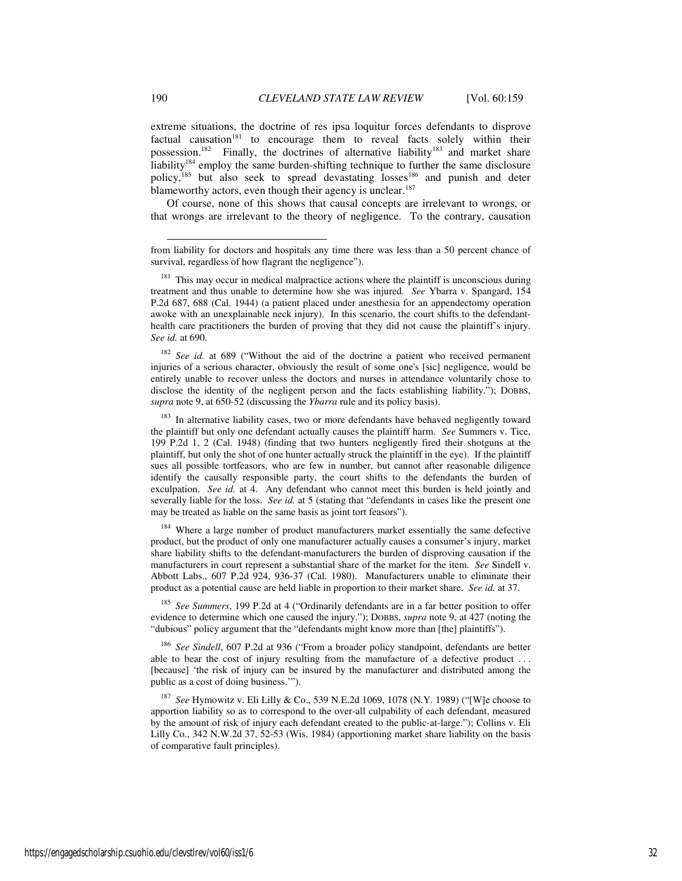extreme situations, the doctrine of res ipsa loquitur forces defendants to disprove factual causation<sup>181</sup> to encourage them to reveal facts solely within their possession.<sup>182</sup> Finally, the doctrines of alternative liability<sup>183</sup> and market share liability<sup>184</sup> employ the same burden-shifting technique to further the same disclosure policy,<sup>185</sup> but also seek to spread devastating losses<sup>186</sup> and punish and deter blameworthy actors, even though their agency is unclear.<sup>187</sup>

Of course, none of this shows that causal concepts are irrelevant to wrongs, or that wrongs are irrelevant to the theory of negligence. To the contrary, causation

<sup>182</sup> See id. at 689 ("Without the aid of the doctrine a patient who received permanent injuries of a serious character, obviously the result of some one's [sic] negligence, would be entirely unable to recover unless the doctors and nurses in attendance voluntarily chose to disclose the identity of the negligent person and the facts establishing liability."); DOBBS, *supra* note 9, at 650-52 (discussing the *Ybarra* rule and its policy basis).

<sup>183</sup> In alternative liability cases, two or more defendants have behaved negligently toward the plaintiff but only one defendant actually causes the plaintiff harm. *See* Summers v. Tice, 199 P.2d 1, 2 (Cal. 1948) (finding that two hunters negligently fired their shotguns at the plaintiff, but only the shot of one hunter actually struck the plaintiff in the eye). If the plaintiff sues all possible tortfeasors, who are few in number, but cannot after reasonable diligence identify the causally responsible party, the court shifts to the defendants the burden of exculpation. *See id.* at 4. Any defendant who cannot meet this burden is held jointly and severally liable for the loss. *See id.* at 5 (stating that "defendants in cases like the present one may be treated as liable on the same basis as joint tort feasors").

<sup>184</sup> Where a large number of product manufacturers market essentially the same defective product, but the product of only one manufacturer actually causes a consumer's injury, market share liability shifts to the defendant-manufacturers the burden of disproving causation if the manufacturers in court represent a substantial share of the market for the item. *See* Sindell v. Abbott Labs., 607 P.2d 924, 936-37 (Cal. 1980). Manufacturers unable to eliminate their product as a potential cause are held liable in proportion to their market share. *See id.* at 37.

<sup>185</sup> *See Summers*, 199 P.2d at 4 ("Ordinarily defendants are in a far better position to offer evidence to determine which one caused the injury."); DOBBS, *supra* note 9, at 427 (noting the "dubious" policy argument that the "defendants might know more than [the] plaintiffs").

<sup>186</sup> *See Sindell*, 607 P.2d at 936 ("From a broader policy standpoint, defendants are better able to bear the cost of injury resulting from the manufacture of a defective product . . . [because] 'the risk of injury can be insured by the manufacturer and distributed among the public as a cost of doing business.'").

<sup>187</sup> *See* Hymowitz v. Eli Lilly & Co., 539 N.E.2d 1069, 1078 (N.Y. 1989) ("[W]e choose to apportion liability so as to correspond to the over-all culpability of each defendant, measured by the amount of risk of injury each defendant created to the public-at-large."); Collins v. Eli Lilly Co., 342 N.W.2d 37, 52-53 (Wis. 1984) (apportioning market share liability on the basis of comparative fault principles).

from liability for doctors and hospitals any time there was less than a 50 percent chance of survival, regardless of how flagrant the negligence").

 $181$  This may occur in medical malpractice actions where the plaintiff is unconscious during treatment and thus unable to determine how she was injured. *See* Ybarra v. Spangard, 154 P.2d 687, 688 (Cal. 1944) (a patient placed under anesthesia for an appendectomy operation awoke with an unexplainable neck injury). In this scenario, the court shifts to the defendanthealth care practitioners the burden of proving that they did not cause the plaintiff's injury. *See id.* at 690.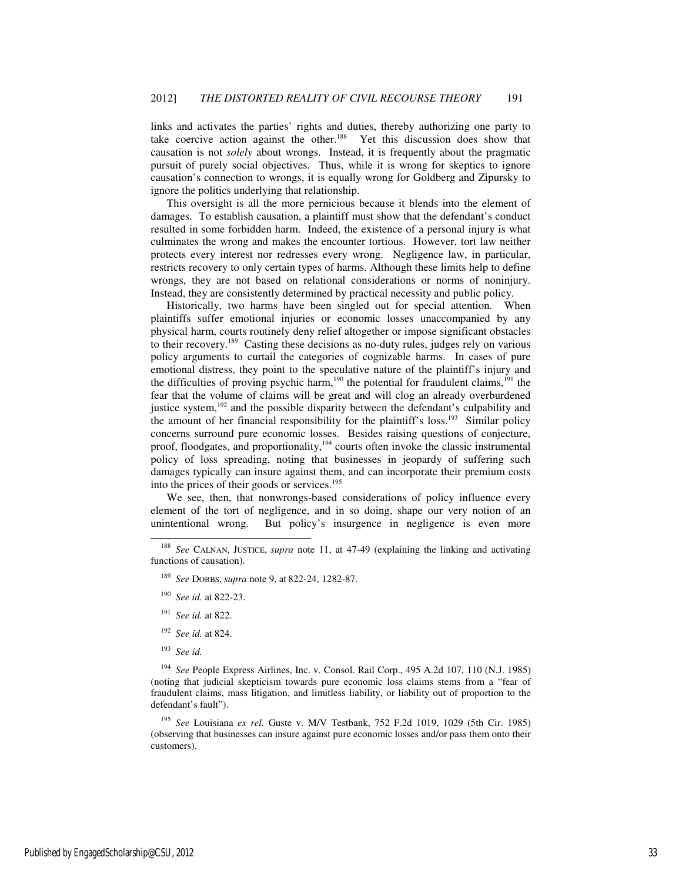links and activates the parties' rights and duties, thereby authorizing one party to take coercive action against the other.<sup>188</sup> Yet this discussion does show that causation is not *solely* about wrongs. Instead, it is frequently about the pragmatic pursuit of purely social objectives. Thus, while it is wrong for skeptics to ignore causation's connection to wrongs, it is equally wrong for Goldberg and Zipursky to ignore the politics underlying that relationship.

This oversight is all the more pernicious because it blends into the element of damages. To establish causation, a plaintiff must show that the defendant's conduct resulted in some forbidden harm. Indeed, the existence of a personal injury is what culminates the wrong and makes the encounter tortious. However, tort law neither protects every interest nor redresses every wrong. Negligence law, in particular, restricts recovery to only certain types of harms. Although these limits help to define wrongs, they are not based on relational considerations or norms of noninjury. Instead, they are consistently determined by practical necessity and public policy.

Historically, two harms have been singled out for special attention. When plaintiffs suffer emotional injuries or economic losses unaccompanied by any physical harm, courts routinely deny relief altogether or impose significant obstacles to their recovery.<sup>189</sup> Casting these decisions as no-duty rules, judges rely on various policy arguments to curtail the categories of cognizable harms. In cases of pure emotional distress, they point to the speculative nature of the plaintiff's injury and the difficulties of proving psychic harm,<sup>190</sup> the potential for fraudulent claims,<sup>191</sup> the fear that the volume of claims will be great and will clog an already overburdened justice system, $192$  and the possible disparity between the defendant's culpability and the amount of her financial responsibility for the plaintiff's loss.<sup>193</sup> Similar policy concerns surround pure economic losses. Besides raising questions of conjecture, proof, floodgates, and proportionality,<sup>194</sup> courts often invoke the classic instrumental policy of loss spreading, noting that businesses in jeopardy of suffering such damages typically can insure against them, and can incorporate their premium costs into the prices of their goods or services. $195$ 

We see, then, that nonwrongs-based considerations of policy influence every element of the tort of negligence, and in so doing, shape our very notion of an unintentional wrong. But policy's insurgence in negligence is even more

- <sup>191</sup> *See id.* at 822.
- <sup>192</sup> *See id.* at 824.
- <sup>193</sup> *See id.*

-

<sup>194</sup> *See* People Express Airlines, Inc. v. Consol. Rail Corp., 495 A.2d 107, 110 (N.J. 1985) (noting that judicial skepticism towards pure economic loss claims stems from a "fear of fraudulent claims, mass litigation, and limitless liability, or liability out of proportion to the defendant's fault").

<sup>195</sup> *See* Louisiana *ex rel.* Guste v. M/V Testbank, 752 F.2d 1019, 1029 (5th Cir. 1985) (observing that businesses can insure against pure economic losses and/or pass them onto their customers).

<sup>188</sup> *See* CALNAN, JUSTICE, *supra* note 11, at 47-49 (explaining the linking and activating functions of causation).

<sup>189</sup> *See* DOBBS, *supra* note 9, at 822-24, 1282-87.

<sup>190</sup> *See id.* at 822-23.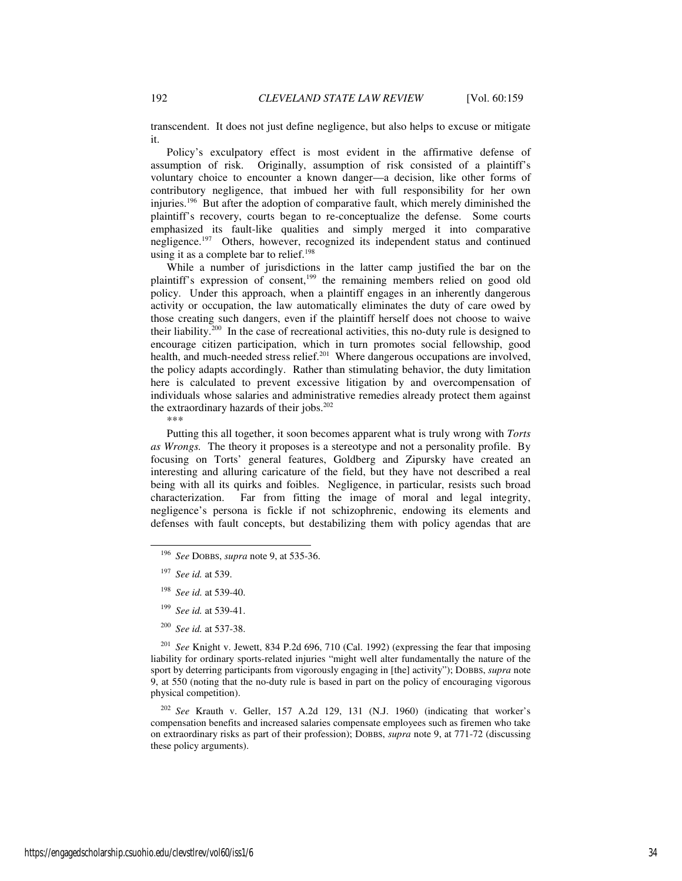transcendent. It does not just define negligence, but also helps to excuse or mitigate it.

Policy's exculpatory effect is most evident in the affirmative defense of assumption of risk. Originally, assumption of risk consisted of a plaintiff's voluntary choice to encounter a known danger—a decision, like other forms of contributory negligence, that imbued her with full responsibility for her own injuries.<sup>196</sup> But after the adoption of comparative fault, which merely diminished the plaintiff's recovery, courts began to re-conceptualize the defense. Some courts emphasized its fault-like qualities and simply merged it into comparative negligence.<sup>197</sup> Others, however, recognized its independent status and continued using it as a complete bar to relief.<sup>198</sup>

While a number of jurisdictions in the latter camp justified the bar on the plaintiff's expression of consent,<sup>199</sup> the remaining members relied on good old policy. Under this approach, when a plaintiff engages in an inherently dangerous activity or occupation, the law automatically eliminates the duty of care owed by those creating such dangers, even if the plaintiff herself does not choose to waive their liability.<sup>200</sup> In the case of recreational activities, this no-duty rule is designed to encourage citizen participation, which in turn promotes social fellowship, good health, and much-needed stress relief.<sup>201</sup> Where dangerous occupations are involved, the policy adapts accordingly. Rather than stimulating behavior, the duty limitation here is calculated to prevent excessive litigation by and overcompensation of individuals whose salaries and administrative remedies already protect them against the extraordinary hazards of their jobs. $202$ 

\*\*\*

Putting this all together, it soon becomes apparent what is truly wrong with *Torts as Wrongs.* The theory it proposes is a stereotype and not a personality profile. By focusing on Torts' general features, Goldberg and Zipursky have created an interesting and alluring caricature of the field, but they have not described a real being with all its quirks and foibles. Negligence, in particular, resists such broad characterization. Far from fitting the image of moral and legal integrity, negligence's persona is fickle if not schizophrenic, endowing its elements and defenses with fault concepts, but destabilizing them with policy agendas that are

-

<sup>200</sup> *See id.* at 537-38.

<sup>201</sup> *See* Knight v. Jewett, 834 P.2d 696, 710 (Cal. 1992) (expressing the fear that imposing liability for ordinary sports-related injuries "might well alter fundamentally the nature of the sport by deterring participants from vigorously engaging in [the] activity"); DOBBS, *supra* note 9, at 550 (noting that the no-duty rule is based in part on the policy of encouraging vigorous physical competition).

<sup>202</sup> *See* Krauth v. Geller, 157 A.2d 129, 131 (N.J. 1960) (indicating that worker's compensation benefits and increased salaries compensate employees such as firemen who take on extraordinary risks as part of their profession); DOBBS, *supra* note 9, at 771-72 (discussing these policy arguments).

<sup>196</sup> *See* DOBBS, *supra* note 9, at 535-36.

<sup>197</sup> *See id.* at 539.

<sup>198</sup> *See id.* at 539-40.

<sup>199</sup> *See id.* at 539-41.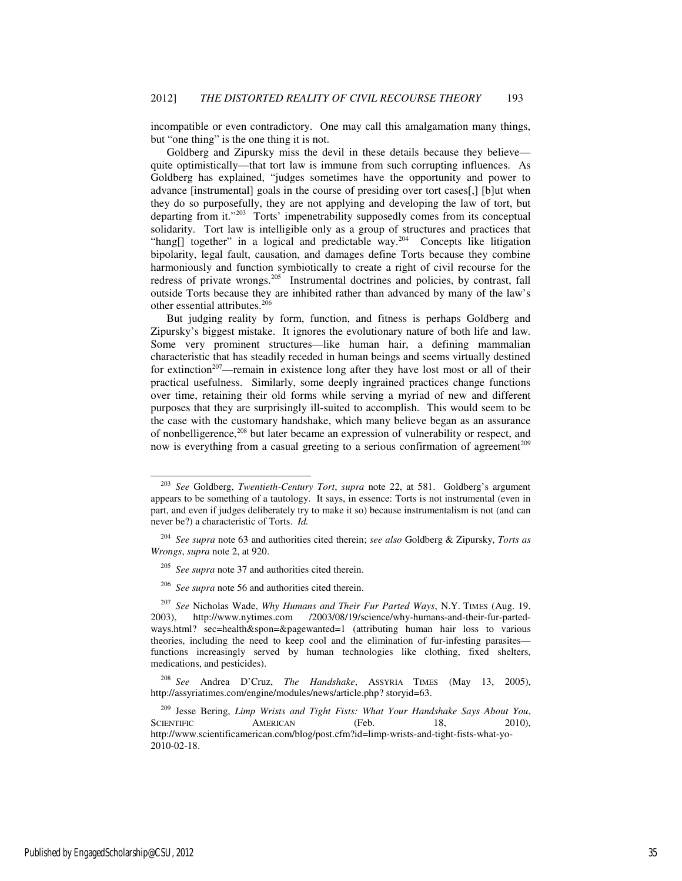incompatible or even contradictory. One may call this amalgamation many things, but "one thing" is the one thing it is not.

Goldberg and Zipursky miss the devil in these details because they believe quite optimistically—that tort law is immune from such corrupting influences. As Goldberg has explained, "judges sometimes have the opportunity and power to advance [instrumental] goals in the course of presiding over tort cases[,] [b]ut when they do so purposefully, they are not applying and developing the law of tort, but departing from it."<sup>203</sup> Torts' impenetrability supposedly comes from its conceptual solidarity. Tort law is intelligible only as a group of structures and practices that "hang[] together" in a logical and predictable way.<sup>204</sup> Concepts like litigation bipolarity, legal fault, causation, and damages define Torts because they combine harmoniously and function symbiotically to create a right of civil recourse for the redress of private wrongs.<sup>205</sup> Instrumental doctrines and policies, by contrast, fall outside Torts because they are inhibited rather than advanced by many of the law's other essential attributes.<sup>206</sup>

But judging reality by form, function, and fitness is perhaps Goldberg and Zipursky's biggest mistake. It ignores the evolutionary nature of both life and law. Some very prominent structures—like human hair, a defining mammalian characteristic that has steadily receded in human beings and seems virtually destined for extinction<sup>207</sup>—remain in existence long after they have lost most or all of their practical usefulness. Similarly, some deeply ingrained practices change functions over time, retaining their old forms while serving a myriad of new and different purposes that they are surprisingly ill-suited to accomplish. This would seem to be the case with the customary handshake, which many believe began as an assurance of nonbelligerence,<sup>208</sup> but later became an expression of vulnerability or respect, and now is everything from a casual greeting to a serious confirmation of agreement<sup>209</sup>

<sup>203</sup> *See* Goldberg, *Twentieth-Century Tort*, *supra* note 22, at 581. Goldberg's argument appears to be something of a tautology. It says, in essence: Torts is not instrumental (even in part, and even if judges deliberately try to make it so) because instrumentalism is not (and can never be?) a characteristic of Torts. *Id.* 

<sup>204</sup> *See supra* note 63 and authorities cited therein; *see also* Goldberg & Zipursky, *Torts as Wrongs*, *supra* note 2, at 920.

<sup>205</sup> *See supra* note 37 and authorities cited therein.

<sup>206</sup> *See supra* note 56 and authorities cited therein.

<sup>207</sup> *See* Nicholas Wade, *Why Humans and Their Fur Parted Ways*, N.Y. TIMES (Aug. 19, 2003), http://www.nytimes.com /2003/08/19/science/why-humans-and-their-fur-partedways.html? sec=health&spon=&pagewanted=1 (attributing human hair loss to various theories, including the need to keep cool and the elimination of fur-infesting parasites functions increasingly served by human technologies like clothing, fixed shelters, medications, and pesticides).

<sup>208</sup> *See* Andrea D'Cruz, *The Handshake*, ASSYRIA TIMES (May 13, 2005), http://assyriatimes.com/engine/modules/news/article.php? storyid=63.

<sup>209</sup> Jesse Bering, *Limp Wrists and Tight Fists: What Your Handshake Says About You*, SCIENTIFIC AMERICAN (Feb. 18, 2010), http://www.scientificamerican.com/blog/post.cfm?id=limp-wrists-and-tight-fists-what-yo-2010-02-18.